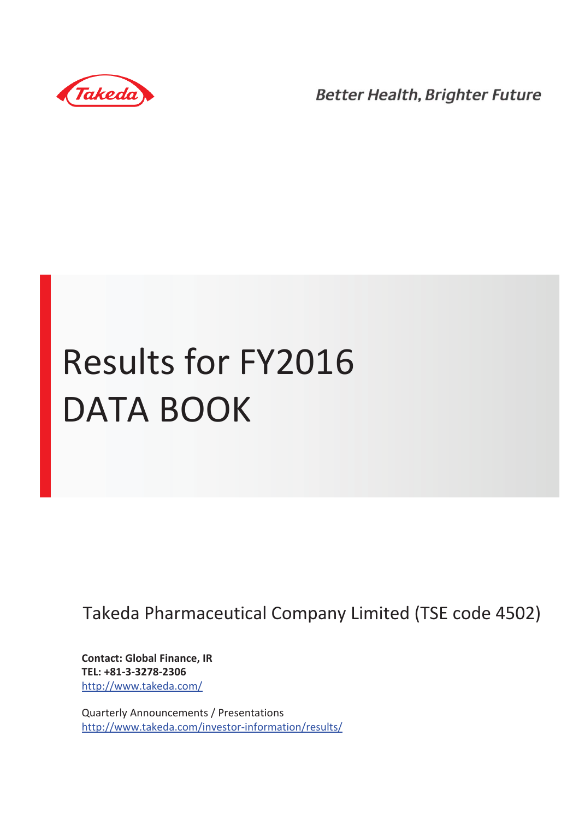

**Better Health, Brighter Future** 

# Results for FY2016 DATA BOOK

Takeda Pharmaceutical Company Limited (TSE code 4502)

**Contact: Global Finance, IR TEL: +81-3-3278-2306** http://www.takeda.com/

Quarterly Announcements / Presentations http://www.takeda.com/investor-information/results/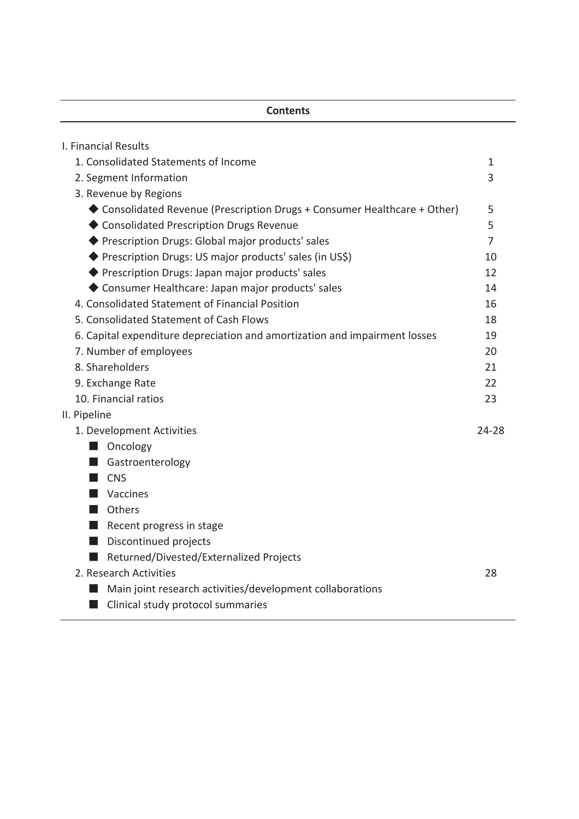### **Contents**

| I. Financial Results                                                       |           |
|----------------------------------------------------------------------------|-----------|
| 1. Consolidated Statements of Income                                       | 1         |
| 2. Segment Information                                                     | 3         |
| 3. Revenue by Regions                                                      |           |
| ◆ Consolidated Revenue (Prescription Drugs + Consumer Healthcare + Other)  | 5         |
| ◆ Consolidated Prescription Drugs Revenue                                  | 5         |
| ◆ Prescription Drugs: Global major products' sales                         | 7         |
| ◆ Prescription Drugs: US major products' sales (in US\$)                   | 10        |
| ◆ Prescription Drugs: Japan major products' sales                          | 12        |
| ◆ Consumer Healthcare: Japan major products' sales                         | 14        |
| 4. Consolidated Statement of Financial Position                            | 16        |
| 5. Consolidated Statement of Cash Flows                                    | 18        |
| 6. Capital expenditure depreciation and amortization and impairment losses | 19        |
| 7. Number of employees                                                     | 20        |
| 8. Shareholders                                                            | 21        |
| 9. Exchange Rate                                                           | 22        |
| 10. Financial ratios                                                       | 23        |
| II. Pipeline                                                               |           |
| 1. Development Activities                                                  | $24 - 28$ |
| Oncology                                                                   |           |
| Gastroenterology                                                           |           |
| <b>CNS</b>                                                                 |           |
| Vaccines                                                                   |           |
| Others                                                                     |           |
| $\blacksquare$ Recent progress in stage                                    |           |
| Discontinued projects<br>- 1                                               |           |
| Returned/Divested/Externalized Projects                                    |           |
| 2. Research Activities                                                     | 28        |
| Main joint research activities/development collaborations                  |           |
| Clinical study protocol summaries                                          |           |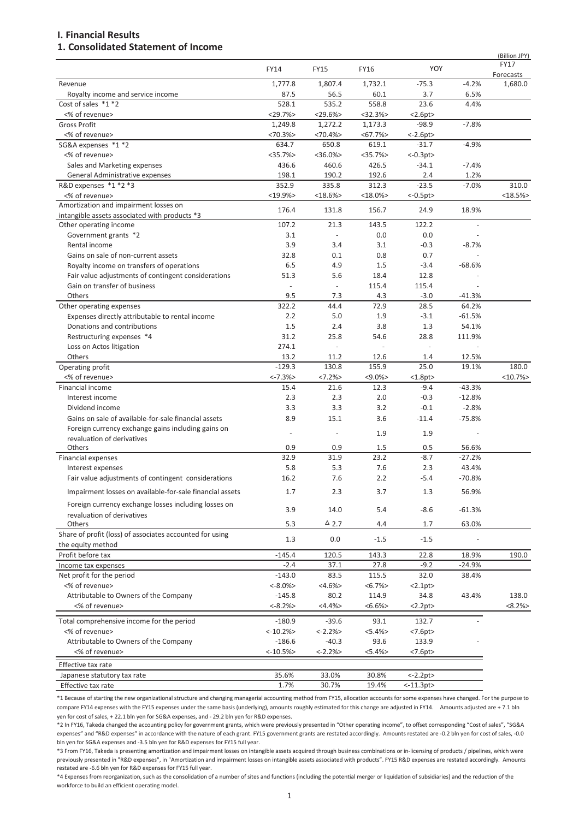#### **I. Financial Results**

#### **1. Consolidated Statement of Income**

|                                                                          |                     |                 |             |                          |                   | (Billion JPY)        |
|--------------------------------------------------------------------------|---------------------|-----------------|-------------|--------------------------|-------------------|----------------------|
|                                                                          | <b>FY14</b>         | <b>FY15</b>     | <b>FY16</b> | YOY                      |                   | <b>FY17</b>          |
|                                                                          | 1,777.8             | 1,807.4         | 1,732.1     | $-75.3$                  | $-4.2%$           | Forecasts<br>1,680.0 |
| Revenue<br>Royalty income and service income                             | 87.5                | 56.5            | 60.1        | 3.7                      | 6.5%              |                      |
| Cost of sales *1 *2                                                      | 528.1               | 535.2           | 558.8       | 23.6                     | 4.4%              |                      |
| <% of revenue>                                                           | <29.7%              | $<$ 29.6% $>$   | <32.3%      | <2.6pt>                  |                   |                      |
| <b>Gross Profit</b>                                                      | 1,249.8             | 1,272.2         | 1,173.3     | $-98.9$                  | $-7.8%$           |                      |
| <% of revenue>                                                           | <70.3%              | <70.4%          | $< 67.7\%$  | $< -2.6$ pt $>$          |                   |                      |
| SG&A expenses *1 *2                                                      | 634.7               | 650.8           | 619.1       | $-31.7$                  | $-4.9%$           |                      |
| <% of revenue>                                                           | $<$ 35.7% $>$       | $<$ 36.0% $>$   | <35.7%      | $<-0.3pt>$               |                   |                      |
| Sales and Marketing expenses                                             | 436.6               | 460.6           | 426.5       | $-34.1$                  | $-7.4%$           |                      |
| General Administrative expenses                                          | 198.1               | 190.2           | 192.6       | 2.4                      | 1.2%              |                      |
| R&D expenses *1 *2 *3                                                    | 352.9               | 335.8           | 312.3       | $-23.5$                  | $-7.0%$           | 310.0                |
| <% of revenue>                                                           | $<$ 19.9% $>$       | $<$ 18.6% $>$   | $<18.0\%$   | $<-0.5pt>$               |                   | <18.5%               |
| Amortization and impairment losses on                                    | 176.4               | 131.8           | 156.7       | 24.9                     | 18.9%             |                      |
| intangible assets associated with products *3                            |                     |                 |             |                          |                   |                      |
| Other operating income                                                   | 107.2               | 21.3            | 143.5       | 122.2                    |                   |                      |
| Government grants *2                                                     | 3.1                 |                 | 0.0         | 0.0                      |                   |                      |
| Rental income                                                            | 3.9                 | 3.4             | 3.1         | $-0.3$                   | $-8.7%$           |                      |
| Gains on sale of non-current assets                                      | 32.8                | 0.1             | 0.8         | 0.7                      |                   |                      |
| Royalty income on transfers of operations                                | 6.5                 | 4.9             | 1.5         | $-3.4$                   | $-68.6%$          |                      |
| Fair value adjustments of contingent considerations                      | 51.3                | 5.6             | 18.4        | 12.8                     |                   |                      |
| Gain on transfer of business                                             | $\bar{\phantom{a}}$ | $\bar{a}$       | 115.4       | 115.4                    |                   |                      |
| Others                                                                   | 9.5                 | 7.3             | 4.3         | $-3.0$                   | $-41.3%$          |                      |
| Other operating expenses                                                 | 322.2               | 44.4            | 72.9        | 28.5                     | 64.2%             |                      |
| Expenses directly attributable to rental income                          | 2.2                 | 5.0             | 1.9         | $-3.1$                   | $-61.5%$          |                      |
| Donations and contributions                                              | 1.5                 | 2.4             | 3.8         | 1.3                      | 54.1%             |                      |
| Restructuring expenses *4                                                | 31.2                | 25.8            | 54.6        | 28.8                     | 111.9%            |                      |
| Loss on Actos litigation                                                 | 274.1               | ÷,              | $\bar{a}$   | $\overline{\phantom{a}}$ | L,                |                      |
| Others                                                                   | 13.2                | 11.2            | 12.6        | 1.4                      | 12.5%             |                      |
| Operating profit                                                         | $-129.3$            | 130.8           | 155.9       | 25.0                     | 19.1%             | 180.0                |
| <% of revenue>                                                           | $<-7.3%$            | $<7.2\%>$       | $< 9.0\%$   | <1.8pt>                  |                   | <10.7%               |
| Financial income                                                         | 15.4                | 21.6            | 12.3        | $-9.4$                   | $-43.3%$          |                      |
| Interest income                                                          | 2.3                 | 2.3             | 2.0         | $-0.3$                   | $-12.8%$          |                      |
| Dividend income                                                          | 3.3                 | 3.3             | 3.2         | $-0.1$                   | $-2.8%$           |                      |
| Gains on sale of available-for-sale financial assets                     | 8.9                 | 15.1            | 3.6         | $-11.4$                  | $-75.8%$          |                      |
| Foreign currency exchange gains including gains on                       | $\blacksquare$      |                 | 1.9         | 1.9                      |                   |                      |
| revaluation of derivatives                                               |                     |                 |             |                          |                   |                      |
| Others                                                                   | 0.9<br>32.9         | 0.9<br>31.9     | 1.5<br>23.2 | 0.5<br>$-8.7$            | 56.6%<br>$-27.2%$ |                      |
| Financial expenses                                                       |                     |                 | 7.6         |                          |                   |                      |
| Interest expenses<br>Fair value adjustments of contingent considerations | 5.8<br>16.2         | 5.3<br>7.6      | 2.2         | 2.3<br>$-5.4$            | 43.4%<br>$-70.8%$ |                      |
|                                                                          |                     |                 |             |                          |                   |                      |
| Impairment losses on available-for-sale financial assets                 | 1.7                 | 2.3             | 3.7         | 1.3                      | 56.9%             |                      |
| Foreign currency exchange losses including losses on                     | 3.9                 | 14.0            |             | $-8.6$                   |                   |                      |
| revaluation of derivatives                                               |                     |                 | 5.4         |                          | $-61.3%$          |                      |
| Others                                                                   | 5.3                 | $\triangle$ 2.7 | 4.4         | $1.7\,$                  | 63.0%             |                      |
| Share of profit (loss) of associates accounted for using                 | 1.3                 | 0.0             | $-1.5$      | $-1.5$                   |                   |                      |
| the equity method                                                        |                     |                 |             |                          |                   |                      |
| Profit before tax                                                        | $-145.4$            | 120.5           | 143.3       | 22.8                     | 18.9%             | 190.0                |
| Income tax expenses                                                      | $-2.4$              | 37.1            | 27.8        | $-9.2$                   | $-24.9%$          |                      |
| Net profit for the period                                                | $-143.0$            | 83.5            | 115.5       | 32.0                     | 38.4%             |                      |
| <% of revenue>                                                           | $< -8.0\%>$         | $<4.6\%>$       | $<6.7\%>$   | <2.1pt>                  |                   |                      |
| Attributable to Owners of the Company                                    | $-145.8$            | 80.2            | 114.9       | 34.8                     | 43.4%             | 138.0                |
| <% of revenue>                                                           | $< -8.2\%>$         | $<4.4\%$        | $<6.6\%>$   | <2.2pt>                  |                   | $<8.2\%>$            |
| Total comprehensive income for the period                                | $-180.9$            | $-39.6$         | 93.1        | 132.7                    |                   |                      |
| <% of revenue>                                                           | $< -10.2\%$         | $< -2.2\%$      | $< 5.4\% >$ | <7.6pt>                  |                   |                      |
| Attributable to Owners of the Company                                    | $-186.6$            | $-40.3$         | 93.6        | 133.9                    |                   |                      |
| <% of revenue>                                                           | $< -10.5%$          | $< -2.2\%$      | <5.4%>      | $< 7.6$ pt $>$           |                   |                      |
|                                                                          |                     |                 |             |                          |                   |                      |
| Effective tax rate                                                       |                     |                 |             |                          |                   |                      |
| Japanese statutory tax rate                                              | 35.6%               | 33.0%           | 30.8%       | $< -2.2$ pt $>$          |                   |                      |
| Effective tax rate                                                       | 1.7%                | 30.7%           | 19.4%       | $< -11.3$ pt>            |                   |                      |

\*1 Because of starting the new organizational structure and changing managerial accounting method from FY15, allocation accounts for some expenses have changed. For the purpose to compare FY14 expenses with the FY15 expenses under the same basis (underlying), amounts roughly estimated for this change are adjusted in FY14. Amounts adjusted are + 7.1 bln yen for cost of sales, + 22.1 bln yen for SG&A expenses, and - 29.2 bln yen for R&D expenses.

\*2 In FY16, Takeda changed the accounting policy for government grants, which were previously presented in "Other operating income", to offset corresponding "Cost of sales", "SG&A expenses" and "R&D expenses" in accordance with the nature of each grant. FY15 government grants are restated accordingly. Amounts restated are -0.2 bln yen for cost of sales, -0.0 bln yen for SG&A expenses and -3.5 bln yen for R&D expenses for FY15 full year.

\*3 From FY16, Takeda is presenting amortization and impairment losses on intangible assets acquired through business combinations or in-licensing of products / pipelines, which were previously presented in "R&D expenses", in "Amortization and impairment losses on intangible assets associated with products". FY15 R&D expenses are restated accordingly. Amounts restated are -6.6 bln yen for R&D expenses for FY15 full year.

\*4 Expenses from reorganization, such as the consolidation of a number of sites and functions (including the potential merger or liquidation of subsidiaries) and the reduction of the workforce to build an efficient operating model.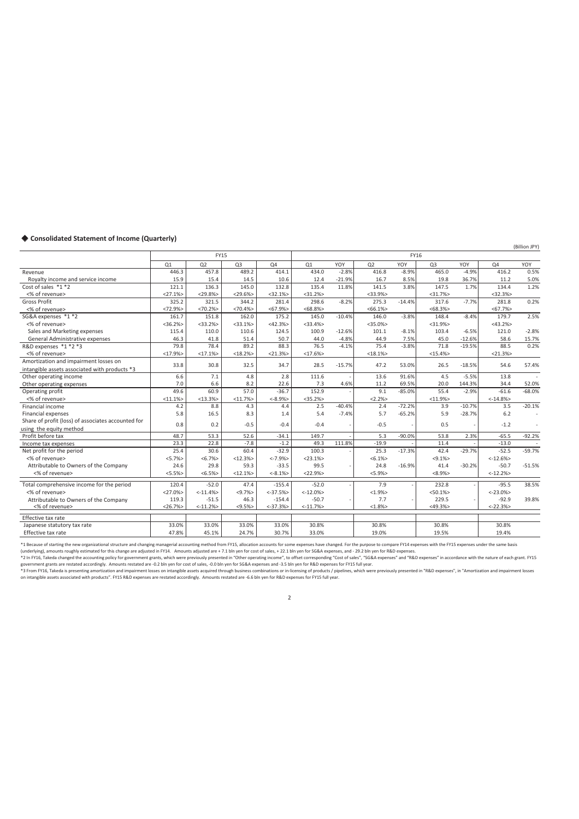#### ◆ Consolidated Statement of Income (Quarterly)

Q1 Q2 Q3 Q4 Q1 YOY Q2 YOY Q3 YOY Q4 YOY Revenue 446.3 457.8 489.2 414.1 434.0 -2.8% 416.8 -8.9% 465.0 -4.9% 416.2 0.5% Royalty income and service income 15.9 15.9 15.4 14.5 10.6 12.4 21.9% 16.7 8.5% 19.8 36.7% 11.2 5.0% 16.7 11.2<br>Cost of sales \*1 \*2 12.4 12.9% 121.1 136.3 145.0 132.8 135.4 11.8% 141.5 3.8% 147.5 1.7% 134.4 1.2% Cost of sales \*1 \*2 121.1 120.1 | 120.1 | 136.3 | 145.0 | 132.8 | 135.4 11.8% | 141.5 1.8% | 147.5 1.7% | 134.4 1.2% <% of revenue> <27.1%> <29.8%> <29.6%> <32.1%> <31.2%> <33.9%> <31.7%> <32.3%> Gross Profit 325.2 321.5 344.2 281.4 298.6 -8.2% 275.3 -14.4% 317.6 -7.7% 281.8 0.2% <% of revenue> <72.9%> <70.2%> <70.4%> <67.9%> <68.8%> <66.1%> <68.3%> <67.7%> SG&A expenses \*1 \*2 161.7 | 151.8 | 162.0 | 175.2 | 145.0 -10.4% | 146.0 -3.8% | 148.4 -8.4% | 179.7 - 2.5% <% of revenue> <36.2%> <33.2%> <33.1%> <42.3%> <33.4%> <35.0%> <31.9%> <43.2%> Sales and Marketing expenses 115.4 116.4 110.0 110.6 124.5 100.9 -12.6% 101.1 -8.1% 103.4 -6.5% 121.0 -2.8% 12<br>General Administrative expenses 46.3 41.8 51.4 50.7 44.0 -4.8% 44.9 7.5% 45.0 -12.6% 58.6 15.7% General Administrative expenses 16.3 46.3 41.8 51.4 50.7 44.0 4.8% 44.9 7.5% 45.0 -12.6% 58.6 15.7%<br>20 expenses \*1 \*2 \*3 3 78.4 89.2 88.3 76.5 -4.1% 75.4 -3.8% 71.8 -19.5% 88.5 0.2% R&D expenses  $*1 *2 *3$  <% of revenue> <17.9%> <17.1%> <18.2%> <21.3%> <17.6%> <18.1%> <15.4%> <21.3%> Amortization and impairment losses on Amortization and impairment losses on<br>
intangible assets associated with products \*3 33.8 30.8 32.5 34.7 28.5 -15.7% 47.2 53.0% 26.5 -18.5% 54.6 57.4%<br>
Other operating income 6.6 7.1 4.8 2.8 111.6 - 13.6 91.6% 4.5 -5.5% 13 Other operating income 6.6 7.1 4.8 2.8 111.6 - 13.6 91.6% 4.5 -5.5% 13.8 - Other operating expenses 20.0<br>
Operating expenses 20.0<br>
Operating expenses 20.0 19 1.2 55.4 55.4 35.0 1.36.7 1.52.9 1.36.7 34.6% 35.4 55.4 55.4 Operating profit **10.6 12.9 and 1.49.6** 19.6 19.6 19.9 10.6 152.9 - 9.1 -85.0% 55.4 -2.9% -61.6 -68.0%  $\langle\%$  of revenue>  $\vert$  <11.1%>  $\vert$  <11.1%>  $\vert$  <13.3%>  $\vert$  <14.8%>  $\vert$  <2.2%>  $\vert$  <11.9%>  $\vert$  <14.8%> Financial income 4.2 8.8 4.3 4.4 2.5 -40.4% 2.4 -72.2% 3.9 -10.7% 3.5 -20.1% Financial expenses 6.2 1.4 | 5.8 | 1.4 | 5.4 -7.4% 5.7 -65.2% 5.9 -28.7% 6.2 - Share of profit (loss) of associates accounted for using the equity method control of the control of the control of the control of the control of the control of the control of the control of the control of the control of the control of the control of the control of the con Profit before tax **1** 48.7 53.3 52.6 -34.1 149.7 - 5.3 -90.0% 53.8 2.3% -65.5 -92.2% Income tax expenses 23.3 22.8 -7.8 -1.2 49.3 111.8% -19.9 - 11.4 - -13.0 Net profit for the period<br>
Net profit for the period<br>
25.4 30.6 60.4 -32.9 100.3 - 25.3 -17.3% 42.4 -29.7% -52.5 -59.7%<br>
25.4 30.6 60.4 -32.9 100.3 - 25.3 -17.3% 42.4 -29.7% -52.5 -59.7% <% of revenue> <5.7%> | <6.7%> | <12.3%> | <-12.9%> | <-12.5%> | <-12.6%> | <-12.6% Attributable to Owners of the Company 24.6 29.8 29.8 59.3 -33.5 99.5 - 24.8 -16.9% 41.4 -30.2% -50.7 -51.5% 41<br>
<% of revenue> <12.2%> <12.1%> <6.5%> <6.5%> <12.1%> <8.1%> <5.9%> <5.9%> <6.9%> <12.2%> <12.2%> <% of revenue> <5.5%> <6.5%> <12.1%> <-8.1%> <22.9%> <5.9%> <8.9%> <-12.2%> Total comprehensive income for the period 120.4 -52.0 47.4 -155.4 -52.0 - 7.9 - 232.8 - -95.5 38.5%<br>
3.9% -9.1.4% -9.7% -9.7% -12.0% -12.0% -12.0% -12.0% -12.9% -12.9% -12.9% -12.9% -12.9% -12.9% -12.9% -12.9% <% of revenue> <27.0%> <-11.4%> <9.7%> <-37.5%> <-12.0%> <1.9%> <50.1%> <-23.0%> Attributable to Owners of the Company 119.3 -51.5 46.3 -154.4 -50.7 - 7.7 - 229.5 - 92.9 39.8%<br>
-8% of revenue> -22.3%> -26.7%> -11.2%> -37.3%> -37.3%> -11.7%> -22.3%> -49.3%> -22.3%>  $\langle\textdegree{\textdegree{}}\rangle$   $\langle\textdegree{\textdegree{}}\rangle$   $\langle\textdegree{\textdegree{}}\rangle$   $\langle\textdegree{\textdegree{}}\rangle$   $\langle\textdegree{\textdegree{}}\rangle$   $\langle\textdegree{\textdegree{}}\rangle$   $\langle\textdegree{\textdegree{}}\rangle$   $\langle\textdegree{\textdegree{}}\rangle$   $\langle\textdegree{\textdegree{}}\rangle$   $\langle\textdegree{\textdegree{}}\rangle$   $\langle\textdegree{\textdegree{}}\rangle$   $\langle\textdegree{\textdegree{}}\rangle$   $\langle\textdegree{\textdegree{}}\rangle$   $\langle\textdegree{\textdegree{}}\rangle$   $\langle\textdegree{\textdegree{}}$  Effective tax rate Japanese statutory tax rate 1988 2008 33.0% 33.0% 33.0% 33.0% 33.0% 33.0% 30.8% 30.8% 30.8% 30.8% 30.8% 30.8% 3<br>19.0% 19.5% 31.9% 47.8% 47.8% 45.1% 24.7% 30.7% 33.0% 33.0% 19.0% 19.5% 19.4% Effective tax rate 19.5% 19.4% 19.8% 45.1% 24.7% 30.7% 33.0% 19.0% 19.0% 19.5% 19.4% FY15 FY16

\*1 Because of starting the new organizational structure and changing managerial accounting method from FY15, allocation accounts for some expenses have changed. For the purpose to compare FY14 expenses with the FY15 expens (underlying), amounts roughly estimated for this change are adjusted in FY14. Amounts adjusted are + 7.1 bln yen for cost of sales, + 22.1 bln yen for SG&A expenses, and - 29.2 bln yen for R&D expenses.

\*2 In FY16, Takeda changed the accounting policy for government grants, which were previously presented in "Other operating income", to offset corresponding "Cost of sales", "SG&A expenses" and "R&D expenses" an accordance

government grants are restated accordingly. Amounts restated are -0.2 bln yen for cost of sales, -0.0 bln yen for SG&A expenses and -3.5 bln yen for R&D expenses for FY15 full year.<br>\*3 From FY16, Takeda is presenting amort on intangible assets associated with products". FY15 R&D expenses are restated accordingly. Amounts restated are -6.6 bln yen for R&D expenses for FY15 full year.

2

(Billion JPY)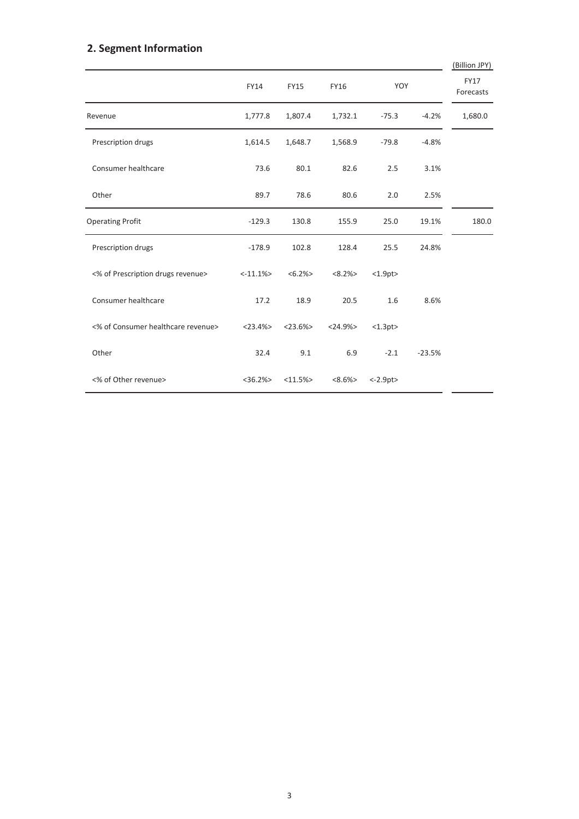### **2. Segment Information**

|                                    |               |             |               |            |          | (Billion JPY)            |
|------------------------------------|---------------|-------------|---------------|------------|----------|--------------------------|
|                                    | FY14          | <b>FY15</b> | FY16          | YOY        |          | <b>FY17</b><br>Forecasts |
| Revenue                            | 1,777.8       | 1,807.4     | 1,732.1       | $-75.3$    | $-4.2%$  | 1,680.0                  |
| Prescription drugs                 | 1,614.5       | 1,648.7     | 1,568.9       | $-79.8$    | $-4.8%$  |                          |
| Consumer healthcare                | 73.6          | 80.1        | 82.6          | 2.5        | 3.1%     |                          |
| Other                              | 89.7          | 78.6        | 80.6          | 2.0        | 2.5%     |                          |
| <b>Operating Profit</b>            | $-129.3$      | 130.8       | 155.9         | 25.0       | 19.1%    | 180.0                    |
| Prescription drugs                 | $-178.9$      | 102.8       | 128.4         | 25.5       | 24.8%    |                          |
| <% of Prescription drugs revenue>  | $< -11.1%$    | $<6.2\%>$   | $<8.2\%>$     | <1.9pt>    |          |                          |
| Consumer healthcare                | 17.2          | 18.9        | 20.5          | 1.6        | 8.6%     |                          |
| <% of Consumer healthcare revenue> | $<$ 23.4% $>$ | $<$ 23.6%>  | $<$ 24.9% $>$ | <1.3pt>    |          |                          |
| Other                              | 32.4          | 9.1         | 6.9           | $-2.1$     | $-23.5%$ |                          |
| <% of Other revenue>               | $<$ 36.2% $>$ | <11.5%      | $<8.6\%>$     | $< -2.9pt$ |          |                          |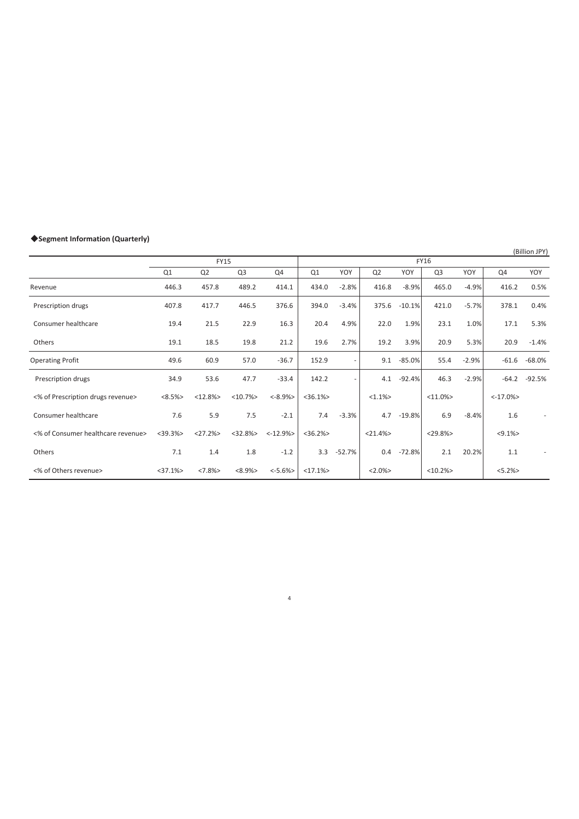### 䕺**Segment Information (Quarterly)**

(Billion JPY)

|                                    |               | <b>FY15</b>    |                |             | <b>FY16</b>   |          |                |          |                |         |             |          |
|------------------------------------|---------------|----------------|----------------|-------------|---------------|----------|----------------|----------|----------------|---------|-------------|----------|
|                                    | Q1            | Q <sub>2</sub> | Q <sub>3</sub> | Q4          | Q1            | YOY      | Q <sub>2</sub> | YOY      | Q <sub>3</sub> | YOY     | Q4          | YOY      |
| Revenue                            | 446.3         | 457.8          | 489.2          | 414.1       | 434.0         | $-2.8%$  | 416.8          | $-8.9%$  | 465.0          | $-4.9%$ | 416.2       | 0.5%     |
| Prescription drugs                 | 407.8         | 417.7          | 446.5          | 376.6       | 394.0         | $-3.4%$  | 375.6          | $-10.1%$ | 421.0          | $-5.7%$ | 378.1       | 0.4%     |
| Consumer healthcare                | 19.4          | 21.5           | 22.9           | 16.3        | 20.4          | 4.9%     | 22.0           | 1.9%     | 23.1           | 1.0%    | 17.1        | 5.3%     |
| Others                             | 19.1          | 18.5           | 19.8           | 21.2        | 19.6          | 2.7%     | 19.2           | 3.9%     | 20.9           | 5.3%    | 20.9        | $-1.4%$  |
| <b>Operating Profit</b>            | 49.6          | 60.9           | 57.0           | $-36.7$     | 152.9         |          | 9.1            | $-85.0%$ | 55.4           | $-2.9%$ | $-61.6$     | $-68.0%$ |
| Prescription drugs                 | 34.9          | 53.6           | 47.7           | $-33.4$     | 142.2         |          | 4.1            | $-92.4%$ | 46.3           | $-2.9%$ | $-64.2$     | $-92.5%$ |
| <% of Prescription drugs revenue>  | <8.5%>        | <12.8%>        | <10.7%         | $< -8.9\%$  | $<$ 36.1% $>$ |          | $<1.1\%>$      |          | $<11.0\%$      |         | $< -17.0\%$ |          |
| Consumer healthcare                | 7.6           | 5.9            | 7.5            | $-2.1$      | 7.4           | $-3.3%$  | 4.7            | $-19.8%$ | 6.9            | $-8.4%$ | 1.6         |          |
| <% of Consumer healthcare revenue> | $<$ 39.3% $>$ | <27.2%         | <32.8%>        | $< -12.9\%$ | $<36.2\%$     |          | $<$ 21.4% $>$  |          | $<$ 29.8%>     |         | $< 9.1\%$   |          |
| Others                             | 7.1           | 1.4            | 1.8            | $-1.2$      | 3.3           | $-52.7%$ | 0.4            | $-72.8%$ | 2.1            | 20.2%   | 1.1         |          |
| <% of Others revenue>              | $<$ 37.1% $>$ | <7.8%          | $<8.9\%>$      | $< -5.6%$   | <17.1%        |          | $<2.0\%>$      |          | <10.2%         |         | $<5.2\%>$   |          |

4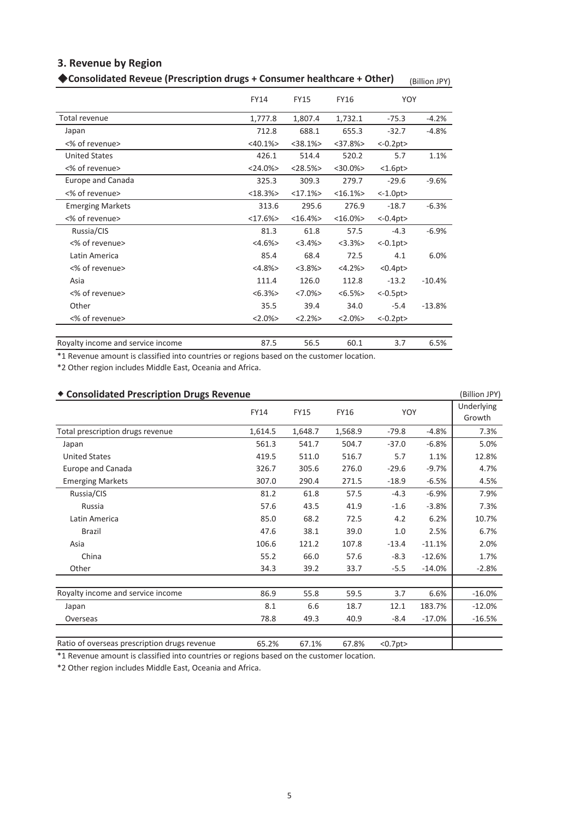### **3. Revenue by Region**

| Consolidated Reveue (Prescription drugs + Consumer healthcare + Other) |               |               |               |                | (Billion JPY) |
|------------------------------------------------------------------------|---------------|---------------|---------------|----------------|---------------|
|                                                                        | <b>FY14</b>   | <b>FY15</b>   | <b>FY16</b>   | YOY            |               |
| Total revenue                                                          | 1,777.8       | 1,807.4       | 1,732.1       | $-75.3$        | $-4.2%$       |
| Japan                                                                  | 712.8         | 688.1         | 655.3         | $-32.7$        | $-4.8%$       |
| <% of revenue>                                                         | $<$ 40.1% $>$ | $<$ 38.1% $>$ | $<$ 37.8% $>$ | $<-0.2pt>$     |               |
| <b>United States</b>                                                   | 426.1         | 514.4         | 520.2         | 5.7            | 1.1%          |
| <% of revenue>                                                         | $<$ 24.0% $>$ | $< 28.5\%$    | $<$ 30.0% $>$ | <1.6pt>        |               |
| Europe and Canada                                                      | 325.3         | 309.3         | 279.7         | $-29.6$        | $-9.6%$       |
| <% of revenue>                                                         | <18.3%        | <17.1%        | <16.1%        | <1.0pt>        |               |
| <b>Emerging Markets</b>                                                | 313.6         | 295.6         | 276.9         | $-18.7$        | $-6.3%$       |
| <% of revenue>                                                         | <17.6%        | <16.4%        | $<16.0\%$     | $<-0.4pt>$     |               |
| Russia/CIS                                                             | 81.3          | 61.8          | 57.5          | $-4.3$         | $-6.9%$       |
| <% of revenue>                                                         | $<4.6\%>$     | $<3.4\%>$     | $<3.3\%>$     | $<-0.1$ pt $>$ |               |
| Latin America                                                          | 85.4          | 68.4          | 72.5          | 4.1            | 6.0%          |
| <% of revenue>                                                         | <4.8%         | <3.8%>        | $<4.2\%>$     | <0.4pt>        |               |
| Asia                                                                   | 111.4         | 126.0         | 112.8         | $-13.2$        | $-10.4%$      |
| <% of revenue>                                                         | $<6.3\%>$     | $<7.0\%$      | $<6.5\%>$     | $<-0.5pt>$     |               |
| Other                                                                  | 35.5          | 39.4          | 34.0          | $-5.4$         | $-13.8%$      |
| <% of revenue>                                                         | $<2.0\%$      | <2.2%>        | $<2.0\%$      | $<-0.2pt>$     |               |

Royalty income and service income

87.5 56.5 60.1 3.7 6.5%

\*1 Revenue amount is classified into countries or regions based on the customer location.

\*2 Other region includes Middle East, Oceania and Africa.

| <b>Consolidated Prescription Drugs Revenue</b> |         |             |             |         |          | (Billion JPY)        |
|------------------------------------------------|---------|-------------|-------------|---------|----------|----------------------|
|                                                | FY14    | <b>FY15</b> | <b>FY16</b> | YOY     |          | Underlying<br>Growth |
| Total prescription drugs revenue               | 1,614.5 | 1,648.7     | 1,568.9     | $-79.8$ | $-4.8%$  | 7.3%                 |
| Japan                                          | 561.3   | 541.7       | 504.7       | $-37.0$ | $-6.8%$  | 5.0%                 |
| <b>United States</b>                           | 419.5   | 511.0       | 516.7       | 5.7     | 1.1%     | 12.8%                |
| Europe and Canada                              | 326.7   | 305.6       | 276.0       | $-29.6$ | $-9.7%$  | 4.7%                 |
| <b>Emerging Markets</b>                        | 307.0   | 290.4       | 271.5       | $-18.9$ | $-6.5%$  | 4.5%                 |
| Russia/CIS                                     | 81.2    | 61.8        | 57.5        | $-4.3$  | $-6.9%$  | 7.9%                 |
| Russia                                         | 57.6    | 43.5        | 41.9        | $-1.6$  | $-3.8%$  | 7.3%                 |
| Latin America                                  | 85.0    | 68.2        | 72.5        | 4.2     | 6.2%     | 10.7%                |
| Brazil                                         | 47.6    | 38.1        | 39.0        | 1.0     | 2.5%     | 6.7%                 |
| Asia                                           | 106.6   | 121.2       | 107.8       | $-13.4$ | $-11.1%$ | 2.0%                 |
| China                                          | 55.2    | 66.0        | 57.6        | $-8.3$  | $-12.6%$ | 1.7%                 |
| Other                                          | 34.3    | 39.2        | 33.7        | $-5.5$  | $-14.0%$ | $-2.8%$              |
| Royalty income and service income              | 86.9    | 55.8        | 59.5        | 3.7     | 6.6%     | $-16.0%$             |
| Japan                                          | 8.1     | 6.6         | 18.7        | 12.1    | 183.7%   | $-12.0%$             |
| Overseas                                       | 78.8    | 49.3        | 40.9        | $-8.4$  | $-17.0%$ | $-16.5%$             |
| Ratio of overseas prescription drugs revenue   | 65.2%   | 67.1%       | 67.8%       | <0.7pt> |          |                      |

### \*1 Revenue amount is classified into countries or regions based on the customer location.

\*2 Other region includes Middle East, Oceania and Africa.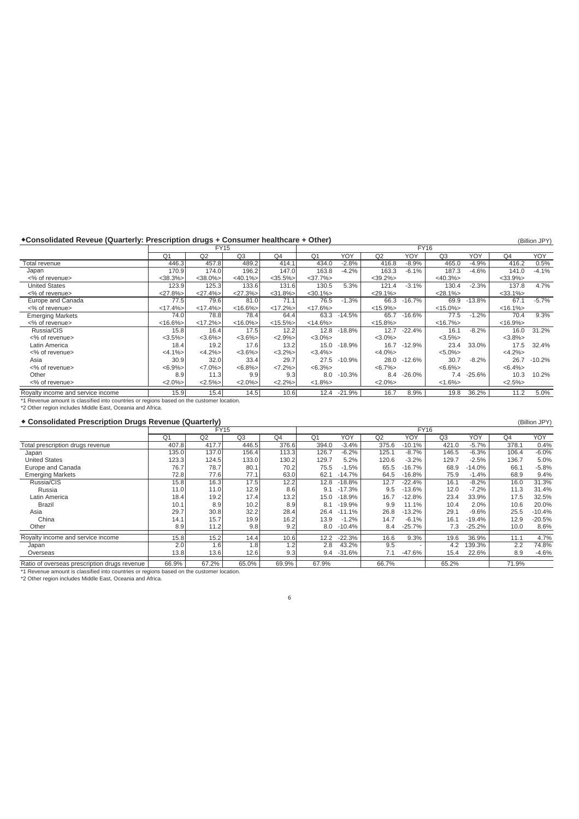#### **Consolidated Reveue (Quarterly: Prescription drugs + Consumer healthcare + Other)** (Billion JPY) (Billion JPY)

|                                                                                           |                |               | <b>FY15</b>   |               | <b>FY16</b>    |          |               |          |             |          |                |          |
|-------------------------------------------------------------------------------------------|----------------|---------------|---------------|---------------|----------------|----------|---------------|----------|-------------|----------|----------------|----------|
|                                                                                           | Q <sub>1</sub> | Q2            | Q3            | Q4            | Q <sub>1</sub> | YOY      | Q2            | YOY      | Q3          | YOY      | Q <sub>4</sub> | YOY      |
| Total revenue                                                                             | 446.3          | 457.8         | 489.2         | 414.1         | 434.0          | $-2.8%$  | 416.8         | $-8.9%$  | 465.0       | $-4.9%$  | 416.2          | 0.5%     |
| Japan                                                                                     | 170.9          | 174.0         | 196.2         | 147.0         | 163.8          | $-4.2%$  | 163.3         | $-6.1%$  | 187.3       | $-4.6%$  | 141.0          | $-4.1%$  |
| <% of revenue>                                                                            | $<$ 38.3% $>$  | $<$ 38.0% $>$ | $<$ 40.1% $>$ | $<$ 35.5% $>$ | $<$ 37.7% $>$  |          | $<$ 39.2% $>$ |          | $<40.3\%>$  |          | $<$ 33.9% $>$  |          |
| <b>United States</b>                                                                      | 123.9          | 125.3         | 133.6         | 131.6         | 130.5          | 5.3%     | 121.4         | $-3.1%$  | 130.4       | $-2.3%$  | 137.8          | 4.7%     |
| <% of revenue>                                                                            | <27.8%         | $<27.4\%>$    | $<27.3\%>$    | $<$ 31.8% $>$ | $<$ 30.1% $>$  |          | $<$ 29.1% $>$ |          | $< 28.1\%$  |          | $<$ 33.1% $>$  |          |
| Europe and Canada                                                                         | 77.5           | 79.6          | 81.0          | 71.1          | 76.5           | $-1.3%$  | 66.3          | $-16.7%$ | 69.9        | $-13.8%$ | 67.1           | $-5.7%$  |
| <% of revenue>                                                                            | $<17.4\%$      | $<17.4\%$     | $< 16.6\%$    | $<17.2\%$     | $<17.6\%>$     |          | $<15.9\%$     |          | $<15.0\%$   |          | $< 16.1\%$     |          |
| <b>Emerging Markets</b>                                                                   | 74.0           | 78.8          | 78.4          | 64.4          | 63.3           | $-14.5%$ | 65.7          | $-16.6%$ | 77.5        | $-1.2%$  | 70.4           | 9.3%     |
| <% of revenue>                                                                            | $< 16.6\%$     | $<17.2\%$     | $< 16.0\%$    | $<15.5\%$     | $<14.6\%$      |          | $<15.8\%>$    |          | $<16.7\%$   |          | $< 16.9\%$     |          |
| Russia/CIS                                                                                | 15.8           | 16.4          | 17.5          | 12.2          | 12.8           | $-18.8%$ | 12.7          | $-22.4%$ | 16.1        | $-8.2%$  | 16.0           | 31.2%    |
| <% of revenue>                                                                            | $<3.5\%>$      | $<3.6\%$      | $<3.6\%$      | $<2.9\%>$     | $<3.0\%$       |          | $<3.0\%$      |          | $<3.5\%$    |          | $<3.8\%>$      |          |
| Latin America                                                                             | 18.4           | 19.2          | 17.6          | 13.2          | 15.0           | $-18.9%$ | 16.7          | $-12.9%$ | 23.4        | 33.0%    | 17.5           | 32.4%    |
| <% of revenue>                                                                            | $<4.1\%>$      | $<4.2\%>$     | $<3.6\%$      | $<3.2\%>$     | $<3.4\%>$      |          | $<4.0\%>$     |          | $< 5.0\% >$ |          | $<4.2\%>$      |          |
| Asia                                                                                      | 30.9           | 32.0          | 33.4          | 29.7          | 27.5           | $-10.9%$ | 28.0          | $-12.6%$ | 30.7        | $-8.2%$  | 26.7           | $-10.2%$ |
| <% of revenue>                                                                            | $<6.9\%>$      | $<7.0\%$      | $<6.8\%>$     | $<7.2\%>$     | $<6.3\%>$      |          | $<6.7\%>$     |          | $<6.6\%>$   |          | $<6.4\%>$      |          |
| Other                                                                                     | 8.9            | 11.3          | 9.9           | 9.3           | 8.0            | $-10.3%$ | 8.4           | $-26.0%$ | 7.4         | $-25.6%$ | 10.3           | 10.2%    |
| <% of revenue>                                                                            | $<2.0\%$       | $<2.5\%>$     | $<2.0\%$      | $<2.2\%>$     | $<1.8\%>$      |          | $<2.0\%$      |          | $<1.6\%>$   |          | $<2.5\%>$      |          |
| Royalty income and service income                                                         | 15.9           | 15.4          | 14.5          | 10.6          | 12.4           | -21.9%   | 16.7          | 8.9%     | 19.8        | 36.2%    | 11.2           | 5.0%     |
| *1 Revenue amount is classified into countries or regions based on the customer location. |                |               |               |               |                |          |               |          |             |          |                |          |
| *2 Other region includes Middle East, Oceania and Africa.                                 |                |               |               |               |                |          |               |          |             |          |                |          |

#### Ⴗ **Consolidated Prescription Drugs Revenue (Quarterly)** (Billion JPY)

|                                                                                                                                                        |                | <b>FY15</b> |                |       | <b>FY16</b>    |          |       |          |       |          |       |          |
|--------------------------------------------------------------------------------------------------------------------------------------------------------|----------------|-------------|----------------|-------|----------------|----------|-------|----------|-------|----------|-------|----------|
|                                                                                                                                                        | Q <sub>1</sub> | Q2          | Q <sub>3</sub> | Q4    | Q <sub>1</sub> | YOY      | Q2    | YOY      | Q3    | YOY      | Q4    | YOY      |
| Total prescription drugs revenue                                                                                                                       | 407.8          | 417.7       | 446.5          | 376.6 | 394.0          | $-3.4%$  | 375.6 | $-10.1%$ | 421.0 | $-5.7\%$ | 378.1 | 0.4%     |
| Japan                                                                                                                                                  | 135.0          | 137.0       | 156.4          | 113.3 | 126.7          | $-6.2%$  | 125.1 | $-8.7%$  | 146.5 | $-6.3%$  | 106.4 | $-6.0%$  |
| <b>United States</b>                                                                                                                                   | 123.3          | 124.5       | 133.0          | 130.2 | 129.7          | 5.2%     | 120.6 | $-3.2%$  | 129.7 | $-2.5%$  | 136.7 | 5.0%     |
| Europe and Canada                                                                                                                                      | 76.7           | 78.7        | 80.1           | 70.2  | 75.5           | $-1.5%$  | 65.5  | $-16.7%$ | 68.9  | $-14.0%$ | 66.1  | $-5.8%$  |
| <b>Emerging Markets</b>                                                                                                                                | 72.8           | 77.6        | 77.1           | 63.0  | 62.1           | $-14.7%$ | 64.5  | $-16.8%$ | 75.9  | $-1.4%$  | 68.9  | 9.4%     |
| Russia/CIS                                                                                                                                             | 15.8           | 16.3        | 17.5           | 12.2  | 12.8           | $-18.8%$ | 12.7  | $-22.4%$ | 16.1  | $-8.2\%$ | 16.0  | 31.3%    |
| Russia                                                                                                                                                 | 11.0           | 11.0        | 12.9           | 8.6   | 9.1            | $-17.3%$ | 9.5   | $-13.6%$ | 12.0  | $-7.2%$  | 11.3  | 31.4%    |
| Latin America                                                                                                                                          | 18.4           | 19.2        | 17.4           | 13.2  | 15.0           | $-18.9%$ | 16.7  | $-12.8%$ | 23.4  | 33.9%    | 17.5  | 32.5%    |
| Brazil                                                                                                                                                 | 10.1           | 8.9         | 10.2           | 8.9   | 8.1            | $-19.9%$ | 9.9   | 11.1%    | 10.4  | 2.0%     | 10.6  | 20.0%    |
| Asia                                                                                                                                                   | 29.7           | 30.8        | 32.2           | 28.4  | 26.4           | $-11.1%$ | 26.8  | $-13.2%$ | 29.1  | $-9.6%$  | 25.5  | $-10.4%$ |
| China                                                                                                                                                  | 14.1           | 15.7        | 19.9           | 16.2  | 13.9           | $-1.2%$  | 14.7  | $-6.1%$  | 16.1  | $-19.4%$ | 12.9  | $-20.5%$ |
| Other                                                                                                                                                  | 8.9            | 11.2        | 9.8            | 9.2   | 8.0            | $-10.4%$ | 8.4   | $-25.7%$ | 7.3   | $-25.2%$ | 10.0  | 8.6%     |
| Royalty income and service income                                                                                                                      | 15.8           | 15.2        | 14.4           | 10.6  | 12.2           | $-22.3%$ | 16.6  | 9.3%     | 19.6  | 36.9%    | 11.1  | 4.7%     |
| Japan                                                                                                                                                  | 2.0            | 1.6         | 1.8            | 1.2   | 2.8            | 43.2%    | 9.5   |          | 4.2   | 139.3%   | 2.2   | 74.8%    |
| Overseas                                                                                                                                               | 13.8           | 13.6        | 12.6           | 9.3   | 9.4            | $-31.6%$ | 7.1   | $-47.6%$ | 15.4  | 22.6%    | 8.9   | $-4.6%$  |
| Ratio of overseas prescription drugs revenue                                                                                                           | 66.9%          | 67.2%       | 65.0%          | 69.9% | 67.9%          |          | 66.7% |          | 65.2% |          | 71.9% |          |
| *1 Revenue amount is classified into countries or regions based on the customer location.<br>*2 Other region includes Middle East, Oceania and Africa. |                |             |                |       |                |          |       |          |       |          |       |          |
|                                                                                                                                                        |                |             |                |       |                |          |       |          |       |          |       |          |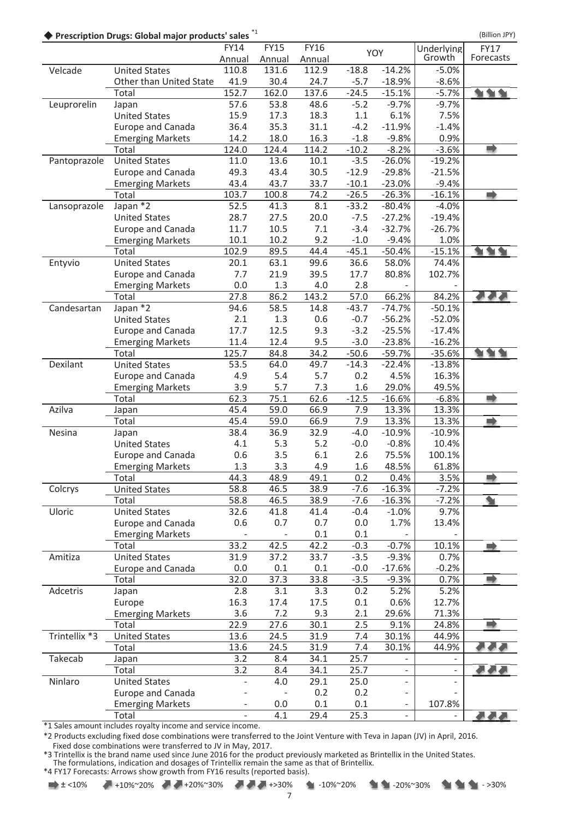◆ Prescription Drugs: Global major products' sales<sup>\*1</sup> and the state of the state of the state (Billion JPY)

|               |                                  | FY14<br>Annual | <b>FY15</b><br>Annual | <b>FY16</b><br>Annual |             | YOY      | Underlying<br>Growth     | <b>FY17</b><br>Forecasts |
|---------------|----------------------------------|----------------|-----------------------|-----------------------|-------------|----------|--------------------------|--------------------------|
| Velcade       | <b>United States</b>             | 110.8          | 131.6                 | 112.9                 | $-18.8$     | $-14.2%$ | $-5.0%$                  |                          |
|               | Other than United State          | 41.9           | 30.4                  | 24.7                  | $-5.7$      | $-18.9%$ | $-8.6%$                  |                          |
|               | Total                            | 152.7          | 162.0                 | 137.6                 | $-24.5$     | $-15.1%$ | $-5.7%$                  | <b>SIGHT</b>             |
| Leuprorelin   | Japan                            | 57.6           | 53.8                  | 48.6                  | $-5.2$      | $-9.7%$  | $-9.7%$                  |                          |
|               | <b>United States</b>             | 15.9           | 17.3                  | 18.3                  | 1.1         | 6.1%     | 7.5%                     |                          |
|               | <b>Europe and Canada</b>         | 36.4           | 35.3                  | 31.1                  | $-4.2$      | $-11.9%$ | $-1.4%$                  |                          |
|               | <b>Emerging Markets</b>          | 14.2           | 18.0                  | 16.3                  | $-1.8$      | $-9.8%$  | 0.9%                     |                          |
|               | Total                            | 124.0          | 124.4                 | 114.2                 | $-10.2$     | $-8.2%$  | $-3.6%$                  | D                        |
| Pantoprazole  | <b>United States</b>             | 11.0           | 13.6                  | 10.1                  | $-3.5$      | $-26.0%$ | $-19.2%$                 |                          |
|               | <b>Europe and Canada</b>         | 49.3           | 43.4                  | 30.5                  | $-12.9$     | $-29.8%$ | $-21.5%$                 |                          |
|               | <b>Emerging Markets</b>          | 43.4           | 43.7                  | 33.7                  | $-10.1$     | $-23.0%$ | $-9.4%$                  |                          |
|               | Total                            | 103.7          | 100.8                 | 74.2                  | $-26.5$     | $-26.3%$ | $-16.1%$                 | $\Rightarrow$            |
| Lansoprazole  | Japan $*2$                       | 52.5           | 41.3                  | 8.1                   | $-33.2$     | $-80.4%$ | $-4.0%$                  |                          |
|               | <b>United States</b>             | 28.7           | 27.5                  | 20.0                  | $-7.5$      | $-27.2%$ | $-19.4%$                 |                          |
|               | <b>Europe and Canada</b>         | 11.7           | 10.5                  | 7.1                   | $-3.4$      | $-32.7%$ | $-26.7%$                 |                          |
|               | <b>Emerging Markets</b>          | 10.1           | 10.2                  | 9.2                   | $-1.0$      | $-9.4%$  | 1.0%                     |                          |
|               | Total                            | 102.9          | 89.5                  | 44.4                  | $-45.1$     | $-50.4%$ | $-15.1%$                 |                          |
| Entyvio       | <b>United States</b>             | 20.1           | 63.1                  | 99.6                  | 36.6        | 58.0%    | 74.4%                    |                          |
|               | <b>Europe and Canada</b>         | 7.7            | 21.9                  | 39.5                  | 17.7        | 80.8%    | 102.7%                   |                          |
|               | <b>Emerging Markets</b>          | 0.0            | 1.3                   | 4.0                   | 2.8         |          |                          |                          |
|               | Total                            | 27.8           | 86.2                  | 143.2                 | 57.0        | 66.2%    | 84.2%                    |                          |
| Candesartan   | Japan *2                         | 94.6           | 58.5                  | 14.8                  | $-43.7$     | $-74.7%$ | $-50.1%$                 |                          |
|               | <b>United States</b>             | 2.1            | 1.3                   | 0.6                   | $-0.7$      | $-56.2%$ | $-52.0%$                 |                          |
|               | Europe and Canada                | 17.7           | 12.5                  | 9.3                   | $-3.2$      | $-25.5%$ | $-17.4%$                 |                          |
|               | <b>Emerging Markets</b>          | 11.4           | 12.4                  | 9.5                   | $-3.0$      | $-23.8%$ | $-16.2%$                 |                          |
|               | Total                            | 125.7          | 84.8                  | 34.2                  | $-50.6$     | $-59.7%$ | $-35.6%$                 |                          |
| Dexilant      | <b>United States</b>             | 53.5           | 64.0                  | 49.7                  | $-14.3$     | $-22.4%$ | $-13.8%$                 |                          |
|               | Europe and Canada                | 4.9            | 5.4                   | 5.7                   | 0.2         | 4.5%     | 16.3%                    |                          |
|               | <b>Emerging Markets</b>          | 3.9            | 5.7                   | 7.3                   | 1.6         | 29.0%    | 49.5%                    |                          |
|               | Total                            | 62.3           | 75.1                  | 62.6                  | $-12.5$     | $-16.6%$ | $-6.8%$                  | ا ک                      |
| Azilva        | Japan                            | 45.4           | 59.0                  | 66.9                  | 7.9         | 13.3%    | 13.3%                    |                          |
|               | Total                            | 45.4           | 59.0                  | 66.9                  | 7.9         | 13.3%    | 13.3%                    | zì                       |
| Nesina        | Japan                            | 38.4           | 36.9                  | 32.9                  | $-4.0$      | $-10.9%$ | $-10.9%$                 |                          |
|               | <b>United States</b>             | 4.1            | 5.3                   | 5.2                   | $-0.0$      | $-0.8%$  | 10.4%                    |                          |
|               | <b>Europe and Canada</b>         | 0.6            | 3.5                   | 6.1                   | 2.6         | 75.5%    | 100.1%                   |                          |
|               | <b>Emerging Markets</b>          | 1.3            | 3.3                   | 4.9                   | 1.6         | 48.5%    | 61.8%                    |                          |
|               | Total                            | 44.3           | 48.9                  | 49.1                  | 0.2         | 0.4%     | 3.5%                     |                          |
| Colcrys       | <b>United States</b>             | 58.8           | 46.5                  | 38.9                  | $-7.6$      | $-16.3%$ | $-7.2%$                  |                          |
|               | Total                            | 58.8           | 46.5                  | 38.9                  | $-7.6$      | $-16.3%$ | $-7.2%$                  | ❤                        |
| Uloric        | <b>United States</b>             | 32.6           | 41.8                  | 41.4                  | $-0.4$      | $-1.0%$  | 9.7%                     |                          |
|               | <b>Europe and Canada</b>         | 0.6            | 0.7                   | 0.7                   | 0.0         | 1.7%     | 13.4%                    |                          |
|               | <b>Emerging Markets</b>          |                |                       | 0.1                   | 0.1         |          |                          |                          |
|               | Total                            | 33.2           | 42.5                  | 42.2                  | $-0.3$      | $-0.7%$  | 10.1%                    |                          |
| Amitiza       | <b>United States</b>             | 31.9           | 37.2                  | 33.7                  | $-3.5$      | $-9.3%$  | 0.7%                     |                          |
|               | Europe and Canada                | 0.0            | 0.1                   | 0.1                   | $-0.0$      | $-17.6%$ | $-0.2%$                  |                          |
|               | Total                            | 32.0           | 37.3                  | 33.8                  | $-3.5$      | $-9.3%$  | 0.7%                     | ۲Ż                       |
| Adcetris      | Japan                            | 2.8            | 3.1                   | 3.3                   | 0.2         | 5.2%     | 5.2%                     |                          |
|               | Europe                           | 16.3           | 17.4                  | 17.5                  | 0.1         | 0.6%     | 12.7%                    |                          |
|               | <b>Emerging Markets</b>          | 3.6            | 7.2                   | 9.3                   | 2.1         | 29.6%    | 71.3%                    |                          |
|               | Total                            | 22.9           | 27.6                  | 30.1                  | 2.5         | 9.1%     | 24.8%                    |                          |
| Trintellix *3 | <b>United States</b>             | 13.6           | 24.5                  | 31.9                  | 7.4         | 30.1%    | 44.9%                    |                          |
|               | Total                            | 13.6           | 24.5                  | 31.9                  | 7.4         | 30.1%    | 44.9%                    |                          |
| Takecab       | Japan                            | 3.2            | 8.4                   | 34.1                  | 25.7        |          |                          |                          |
|               | Total                            | 3.2            | 8.4                   | 34.1                  | 25.7        | ÷.       | $\overline{\phantom{a}}$ |                          |
| Ninlaro       | <b>United States</b>             |                | 4.0                   | 29.1                  | 25.0        | ÷        |                          |                          |
|               | <b>Europe and Canada</b>         |                | 0.0                   | 0.2<br>0.1            | 0.2         |          |                          |                          |
|               | <b>Emerging Markets</b><br>Total |                | 4.1                   | 29.4                  | 0.1<br>25.3 |          | 107.8%                   | <b>ALAN</b>              |
|               |                                  |                |                       |                       |             |          |                          |                          |

\*1 Sales amount includes royalty income and service income.

\*2 Products excluding fixed dose combinations were transferred to the Joint Venture with Teva in Japan (JV) in April, 2016. Fixed dose combinations were transferred to JV in May, 2017.

\*3 Trintellix is the brand name used since June 2016 for the product previously marketed as Brintellix in the United States. The formulations, indication and dosages of Trintellix remain the same as that of Brintellix.

\*4 FY17 Forecasts: Arrows show growth from FY16 results (reported basis).

|  |  |  | $\rightarrow \pm$ <10% +10%~20% +20%~30% +20%~30% +>30% +20%~20% |  |
|--|--|--|------------------------------------------------------------------|--|
|--|--|--|------------------------------------------------------------------|--|

7

 $\bullet$  + 20%~30%  $\bullet$  +  $\bullet$  +  $\bullet$  ->30%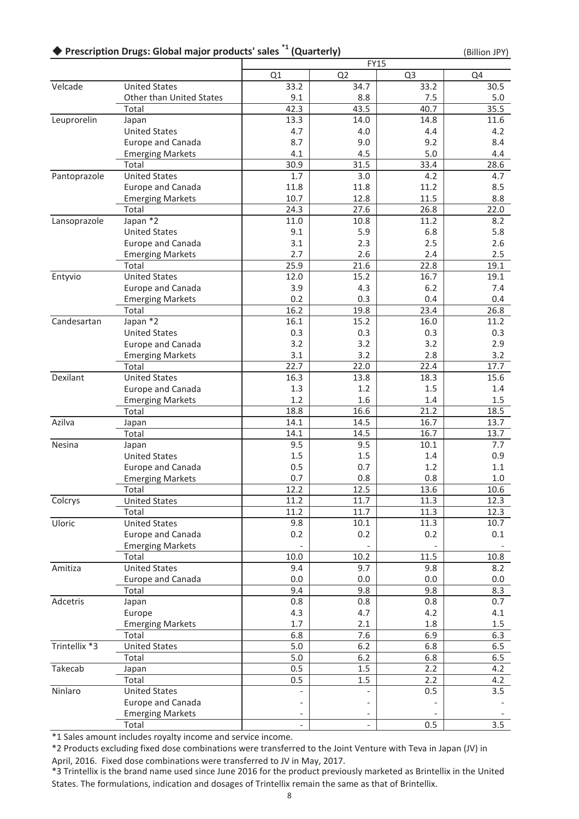### ◆ Prescription Drugs: Global major products' sales <sup>\*1</sup> (Quarterly) (Billion JPY) (Billion JPY)

|               |                          |            |                | <b>FY15</b>    |            |
|---------------|--------------------------|------------|----------------|----------------|------------|
|               |                          | Q1         | Q <sub>2</sub> | Q <sub>3</sub> | Q4         |
| Velcade       | <b>United States</b>     | 33.2       | 34.7           | 33.2           | 30.5       |
|               | Other than United States | 9.1        | 8.8            | 7.5            | 5.0        |
|               | Total                    | 42.3       | 43.5           | 40.7           | 35.5       |
| Leuprorelin   | Japan                    | 13.3       | 14.0           | 14.8           | 11.6       |
|               | <b>United States</b>     | 4.7        | 4.0            | 4.4            | 4.2        |
|               | Europe and Canada        | 8.7        | 9.0            | 9.2            | 8.4        |
|               | <b>Emerging Markets</b>  | 4.1        | 4.5            | 5.0            | 4.4        |
|               | Total                    | 30.9       | 31.5           | 33.4           | 28.6       |
| Pantoprazole  | <b>United States</b>     | 1.7        | 3.0            | 4.2            | 4.7        |
|               | Europe and Canada        | 11.8       | 11.8           | 11.2           | 8.5        |
|               | <b>Emerging Markets</b>  | 10.7       | 12.8           | 11.5           | 8.8        |
|               | Total                    | 24.3       | 27.6           | 26.8           | 22.0       |
| Lansoprazole  | Japan *2                 | 11.0       | 10.8           | 11.2           | 8.2        |
|               | <b>United States</b>     | 9.1        | 5.9            | 6.8            | 5.8        |
|               | <b>Europe and Canada</b> | 3.1        | 2.3            | 2.5            | 2.6        |
|               | <b>Emerging Markets</b>  | 2.7        | 2.6            | 2.4            | 2.5        |
|               | Total                    | 25.9       | 21.6           | 22.8           | 19.1       |
| Entyvio       | <b>United States</b>     | 12.0       | 15.2           | 16.7           | 19.1       |
|               | <b>Europe and Canada</b> | 3.9        | 4.3            | 6.2            | 7.4        |
|               | <b>Emerging Markets</b>  | 0.2        | 0.3            | 0.4            | 0.4        |
|               | Total                    | 16.2       | 19.8           | 23.4           | 26.8       |
| Candesartan   | Japan $\overline{2}$     | 16.1       | 15.2           | 16.0           | 11.2       |
|               | <b>United States</b>     | 0.3        | 0.3            | 0.3            | 0.3        |
|               | <b>Europe and Canada</b> | 3.2        | 3.2            | 3.2            | 2.9        |
|               | <b>Emerging Markets</b>  | 3.1        | 3.2            | 2.8            | 3.2        |
|               | Total                    | 22.7       | 22.0           | 22.4           | 17.7       |
| Dexilant      | <b>United States</b>     | 16.3       | 13.8           | 18.3           | 15.6       |
|               | Europe and Canada        | 1.3        | 1.2            | 1.5            | 1.4        |
|               | <b>Emerging Markets</b>  | 1.2        | 1.6            | 1.4            | $1.5\,$    |
|               | Total                    | 18.8       | 16.6           | 21.2           | 18.5       |
| Azilva        | Japan                    | 14.1       | 14.5           | 16.7           | 13.7       |
|               | Total                    | 14.1       | 14.5           | 16.7           | 13.7       |
| Nesina        | Japan                    | 9.5        | 9.5            | 10.1           | 7.7        |
|               | <b>United States</b>     | 1.5        | 1.5            | 1.4            | 0.9        |
|               | Europe and Canada        | 0.5        | 0.7            | 1.2            | 1.1        |
|               | <b>Emerging Markets</b>  | 0.7        | 0.8            | 0.8            | 1.0        |
|               | Total                    | 12.2       | 12.5           | 13.6           | 10.6       |
| Colcrys       | <b>United States</b>     | 11.2       | 11.7           | 11.3           | 12.3       |
|               | Total                    | 11.2       | 11.7           | 11.3           | 12.3       |
| Uloric        | <b>United States</b>     | 9.8        | 10.1           | 11.3           | 10.7       |
|               | Europe and Canada        | 0.2        | 0.2            | 0.2            | 0.1        |
|               | <b>Emerging Markets</b>  |            |                |                |            |
|               | Total                    | 10.0       | 10.2           | 11.5           | 10.8       |
| Amitiza       | <b>United States</b>     | 9.4        | 9.7            | 9.8            | 8.2        |
|               | Europe and Canada        | 0.0        | 0.0            | 0.0            | 0.0        |
|               | Total                    | 9.4<br>0.8 | 9.8<br>0.8     | 9.8<br>0.8     | 8.3<br>0.7 |
| Adcetris      | Japan<br>Europe          |            |                |                |            |
|               |                          | 4.3        | 4.7            | 4.2            | 4.1        |
|               | <b>Emerging Markets</b>  | 1.7        | 2.1            | 1.8            | 1.5        |
| Trintellix *3 | Total                    | 6.8        | 7.6            | 6.9            | 6.3        |
|               | <b>United States</b>     | $5.0$      | 6.2            | 6.8            | 6.5        |
|               | Total                    | 5.0        | 6.2            | 6.8            | 6.5        |
| Takecab       | Japan                    | 0.5        | 1.5            | 2.2            | 4.2        |
|               | Total                    | 0.5        | 1.5            | 2.2            | 4.2        |
| Ninlaro       | <b>United States</b>     |            |                | 0.5            | 3.5        |
|               | Europe and Canada        |            |                |                |            |
|               | <b>Emerging Markets</b>  |            |                |                |            |
|               | Total                    |            |                | 0.5            | 3.5        |

\*1 Sales amount includes royalty income and service income.

\*2 Products excluding fixed dose combinations were transferred to the Joint Venture with Teva in Japan (JV) in April, 2016. Fixed dose combinations were transferred to JV in May, 2017.

\*3 Trintellix is the brand name used since June 2016 for the product previously marketed as Brintellix in the United States. The formulations, indication and dosages of Trintellix remain the same as that of Brintellix.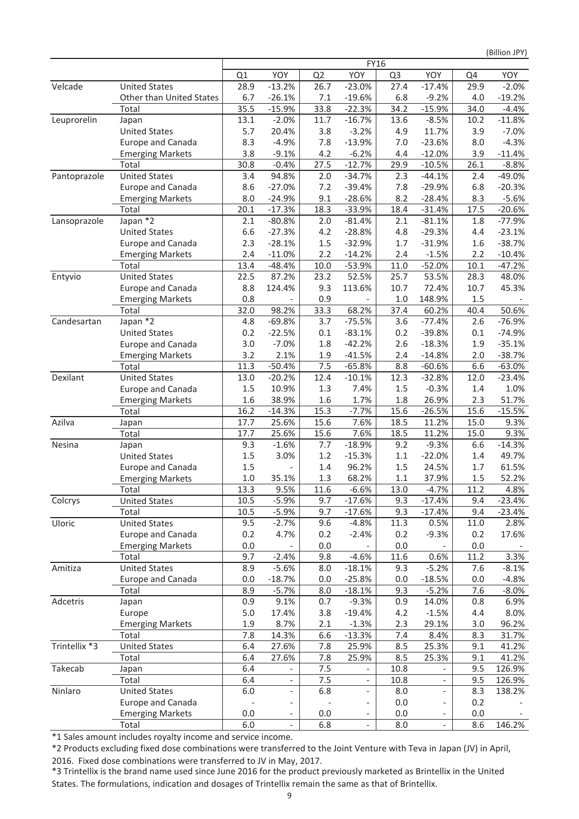(Billion JPY)

|               |                          |         |                          |                | <b>FY16</b>              |                |                          |      |          |
|---------------|--------------------------|---------|--------------------------|----------------|--------------------------|----------------|--------------------------|------|----------|
|               |                          | Q1      | YOY                      | Q <sub>2</sub> | YOY                      | Q <sub>3</sub> | YOY                      | Q4   | YOY      |
| Velcade       | <b>United States</b>     | 28.9    | $-13.2%$                 | 26.7           | $-23.0%$                 | 27.4           | $-17.4%$                 | 29.9 | $-2.0%$  |
|               | Other than United States | 6.7     | $-26.1%$                 | 7.1            | $-19.6%$                 | 6.8            | $-9.2%$                  | 4.0  | $-19.2%$ |
|               | Total                    | 35.5    | $-15.9%$                 | 33.8           | $-22.3%$                 | 34.2           | $-15.9%$                 | 34.0 | $-4.4%$  |
| Leuprorelin   | Japan                    | 13.1    | $-2.0%$                  | 11.7           | $-16.7%$                 | 13.6           | $-8.5%$                  | 10.2 | $-11.8%$ |
|               | <b>United States</b>     | 5.7     | 20.4%                    | 3.8            | $-3.2%$                  | 4.9            | 11.7%                    | 3.9  | $-7.0%$  |
|               | Europe and Canada        | 8.3     | $-4.9%$                  | 7.8            | $-13.9%$                 | 7.0            | $-23.6%$                 | 8.0  | $-4.3%$  |
|               | <b>Emerging Markets</b>  | 3.8     | $-9.1%$                  | 4.2            | $-6.2%$                  | 4.4            | $-12.0%$                 | 3.9  | $-11.4%$ |
|               | Total                    | 30.8    | $-0.4%$                  | 27.5           | $-12.7%$                 | 29.9           | $-10.5%$                 | 26.1 | $-8.8%$  |
| Pantoprazole  | <b>United States</b>     | 3.4     | 94.8%                    | 2.0            | $-34.7%$                 | 2.3            | $-44.1%$                 | 2.4  | $-49.0%$ |
|               | Europe and Canada        | 8.6     | $-27.0%$                 | 7.2            | $-39.4%$                 | 7.8            | $-29.9%$                 | 6.8  | $-20.3%$ |
|               | <b>Emerging Markets</b>  | 8.0     | $-24.9%$                 | 9.1            | $-28.6%$                 | 8.2            | $-28.4%$                 | 8.3  | $-5.6%$  |
|               | Total                    | 20.1    | $-17.3%$                 | 18.3           | $-33.9%$                 | 18.4           | $-31.4%$                 | 17.5 | $-20.6%$ |
| Lansoprazole  | Japan *2                 | 2.1     | $-80.8%$                 | 2.0            | $-81.4%$                 | 2.1            | $-81.1%$                 | 1.8  | $-77.9%$ |
|               | <b>United States</b>     | 6.6     | $-27.3%$                 | 4.2            | $-28.8%$                 | 4.8            | $-29.3%$                 | 4.4  | $-23.1%$ |
|               | Europe and Canada        | 2.3     | $-28.1%$                 | 1.5            | $-32.9%$                 | 1.7            | $-31.9%$                 | 1.6  | $-38.7%$ |
|               | <b>Emerging Markets</b>  | 2.4     | $-11.0%$                 | 2.2            | $-14.2%$                 | 2.4            | $-1.5%$                  | 2.2  | $-10.4%$ |
|               | Total                    | 13.4    | $-48.4%$                 | 10.0           | $-53.9%$                 | 11.0           | $-52.0%$                 | 10.1 | $-47.2%$ |
| Entyvio       | <b>United States</b>     | 22.5    | 87.2%                    | 23.2           | 52.5%                    | 25.7           | 53.5%                    | 28.3 | 48.0%    |
|               | Europe and Canada        | 8.8     | 124.4%                   | 9.3            | 113.6%                   | 10.7           | 72.4%                    | 10.7 | 45.3%    |
|               | <b>Emerging Markets</b>  | 0.8     |                          | 0.9            |                          | $1.0$          | 148.9%                   | 1.5  |          |
|               | Total                    | 32.0    | 98.2%                    | 33.3           | 68.2%                    | 37.4           | 60.2%                    | 40.4 | 50.6%    |
| Candesartan   | Japan *2                 | 4.8     | $-69.8%$                 | 3.7            | $-75.5%$                 | 3.6            | $-77.4%$                 | 2.6  | $-76.9%$ |
|               | <b>United States</b>     | 0.2     | $-22.5%$                 | 0.1            | $-83.1%$                 | 0.2            | $-39.8%$                 | 0.1  | $-74.9%$ |
|               | Europe and Canada        | 3.0     | $-7.0%$                  | 1.8            | $-42.2%$                 | 2.6            | $-18.3%$                 | 1.9  | $-35.1%$ |
|               | <b>Emerging Markets</b>  | 3.2     | 2.1%                     | 1.9            | $-41.5%$                 | 2.4            | $-14.8%$                 | 2.0  | $-38.7%$ |
|               | Total                    | 11.3    | $-50.4%$                 | 7.5            | $-65.8%$                 | 8.8            | $-60.6%$                 | 6.6  | $-63.0%$ |
| Dexilant      | <b>United States</b>     | 13.0    | $-20.2%$                 | 12.4           | $-10.1%$                 | 12.3           | $-32.8%$                 | 12.0 | $-23.4%$ |
|               | Europe and Canada        | 1.5     | 10.9%                    | 1.3            | 7.4%                     | 1.5            | $-0.3%$                  | 1.4  | 1.0%     |
|               | <b>Emerging Markets</b>  | 1.6     | 38.9%                    | 1.6            | 1.7%                     | 1.8            | 26.9%                    | 2.3  | 51.7%    |
|               | Total                    | 16.2    | $-14.3%$                 | 15.3           | $-7.7%$                  | 15.6           | $-26.5%$                 | 15.6 | $-15.5%$ |
| Azilva        | Japan                    | 17.7    | 25.6%                    | 15.6           | 7.6%                     | 18.5           | 11.2%                    | 15.0 | 9.3%     |
|               | Total                    | 17.7    | 25.6%                    | 15.6           | 7.6%                     | 18.5           | 11.2%                    | 15.0 | 9.3%     |
| Nesina        | Japan                    | 9.3     | $-1.6%$                  | 7.7            | $-18.9%$                 | 9.2            | $-9.3%$                  | 6.6  | $-14.3%$ |
|               | <b>United States</b>     | 1.5     | 3.0%                     | 1.2            | $-15.3%$                 | $1.1\,$        | $-22.0%$                 | 1.4  | 49.7%    |
|               | Europe and Canada        | 1.5     |                          | 1.4            | 96.2%                    | 1.5            | 24.5%                    | 1.7  | 61.5%    |
|               | <b>Emerging Markets</b>  | $1.0\,$ | 35.1%                    | 1.3            | 68.2%                    | $1.1\,$        | 37.9%                    | 1.5  | 52.2%    |
|               | Total                    | 13.3    | 9.5%                     | 11.6           | $-6.6%$                  | 13.0           | $-4.7%$                  | 11.2 | 4.8%     |
| Colcrys       | <b>United States</b>     | 10.5    | $-5.9%$                  | 9.7            | $-17.6%$                 | 9.3            | $-17.4%$                 | 9.4  | $-23.4%$ |
|               | Total                    | 10.5    | $-5.9%$                  | 9.7            | $-17.6%$                 | 9.3            | $-17.4%$                 | 9.4  | $-23.4%$ |
| Uloric        | <b>United States</b>     | 9.5     | $-2.7%$                  | 9.6            | $-4.8%$                  | 11.3           | 0.5%                     | 11.0 | 2.8%     |
|               | Europe and Canada        | 0.2     | 4.7%                     | 0.2            | $-2.4%$                  | 0.2            | $-9.3%$                  | 0.2  | 17.6%    |
|               | <b>Emerging Markets</b>  | 0.0     |                          | 0.0            |                          | 0.0            |                          | 0.0  |          |
|               | Total                    | 9.7     | $-2.4%$                  | 9.8            | $-4.6%$                  | 11.6           | 0.6%                     | 11.2 | 3.3%     |
| Amitiza       | <b>United States</b>     | 8.9     | $-5.6%$                  | 8.0            | $-18.1%$                 | 9.3            | $-5.2%$                  | 7.6  | $-8.1%$  |
|               | Europe and Canada        | 0.0     | $-18.7%$                 | 0.0            | $-25.8%$                 | 0.0            | $-18.5%$                 | 0.0  | $-4.8%$  |
|               | Total                    | 8.9     | $-5.7%$                  | 8.0            | $-18.1%$                 | 9.3            | $-5.2%$                  | 7.6  | $-8.0\%$ |
| Adcetris      | Japan                    | 0.9     | 9.1%                     | 0.7            | $-9.3%$                  | 0.9            | 14.0%                    | 0.8  | 6.9%     |
|               | Europe                   | 5.0     | 17.4%                    | 3.8            | $-19.4%$                 | 4.2            | $-1.5%$                  | 4.4  | 8.0%     |
|               | <b>Emerging Markets</b>  | 1.9     | 8.7%                     | 2.1            | $-1.3%$                  | 2.3            | 29.1%                    | 3.0  | 96.2%    |
|               | Total                    | 7.8     | 14.3%                    | 6.6            | $-13.3%$                 | 7.4            | 8.4%                     | 8.3  | 31.7%    |
| Trintellix *3 | <b>United States</b>     | 6.4     | 27.6%                    | 7.8            | 25.9%                    | 8.5            | 25.3%                    | 9.1  | 41.2%    |
|               | Total                    | 6.4     | 27.6%                    | 7.8            | 25.9%                    | 8.5            | 25.3%                    | 9.1  | 41.2%    |
| Takecab       | Japan                    | 6.4     |                          | 7.5            | $\overline{\phantom{a}}$ | 10.8           | $\overline{\phantom{a}}$ | 9.5  | 126.9%   |
|               | Total                    | 6.4     | $\overline{\phantom{a}}$ | 7.5            | $\overline{\phantom{a}}$ | 10.8           | $\overline{\phantom{a}}$ | 9.5  | 126.9%   |
| Ninlaro       | <b>United States</b>     | 6.0     | $\qquad \qquad -$        | 6.8            | $\overline{\phantom{a}}$ | 8.0            | $\overline{\phantom{a}}$ | 8.3  | 138.2%   |
|               | Europe and Canada        |         |                          |                |                          | 0.0            |                          | 0.2  |          |
|               | <b>Emerging Markets</b>  | 0.0     | $\overline{\phantom{0}}$ | 0.0            |                          | 0.0            |                          | 0.0  |          |
|               | Total                    | 6.0     |                          | 6.8            |                          | 8.0            |                          | 8.6  | 146.2%   |

\*1 Sales amount includes royalty income and service income.

\*2 Products excluding fixed dose combinations were transferred to the Joint Venture with Teva in Japan (JV) in April, 2016. Fixed dose combinations were transferred to JV in May, 2017.

\*3 Trintellix is the brand name used since June 2016 for the product previously marketed as Brintellix in the United States. The formulations, indication and dosages of Trintellix remain the same as that of Brintellix.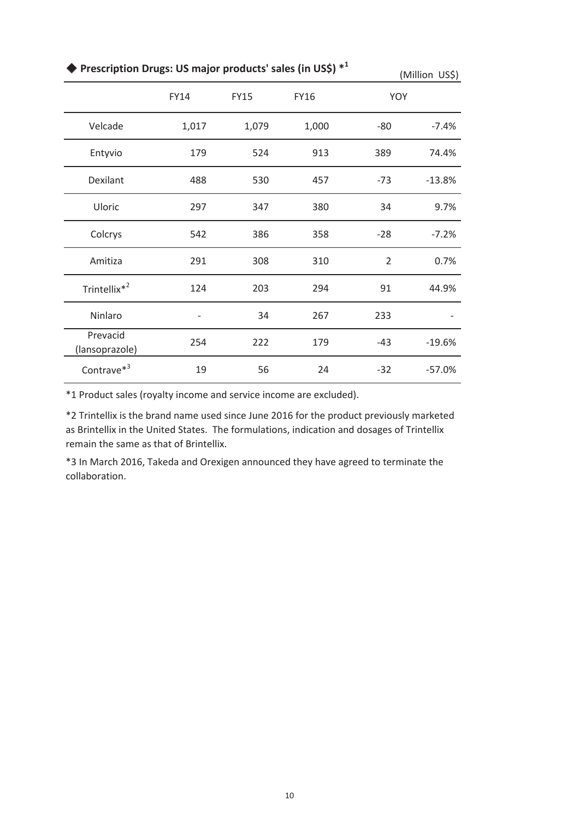| Prescription Drugs: US major products' sales (in US\$) * <sup>1</sup> |       | (Million US\$) |             |                |          |
|-----------------------------------------------------------------------|-------|----------------|-------------|----------------|----------|
|                                                                       | FY14  | <b>FY15</b>    | <b>FY16</b> | YOY            |          |
| Velcade                                                               | 1,017 | 1,079          | 1,000       | $-80$          | $-7.4%$  |
| Entyvio                                                               | 179   | 524            | 913         | 389            | 74.4%    |
| Dexilant                                                              | 488   | 530            | 457         | $-73$          | $-13.8%$ |
| Uloric                                                                | 297   | 347            | 380         | 34             | 9.7%     |
| Colcrys                                                               | 542   | 386            | 358         | $-28$          | $-7.2%$  |
| Amitiza                                                               | 291   | 308            | 310         | $\overline{2}$ | 0.7%     |
| Trintellix <sup>*2</sup>                                              | 124   | 203            | 294         | 91             | 44.9%    |
| Ninlaro                                                               |       | 34             | 267         | 233            |          |
| Prevacid<br>(lansoprazole)                                            | 254   | 222            | 179         | $-43$          | $-19.6%$ |
| Contrave <sup>*3</sup>                                                | 19    | 56             | 24          | $-32$          | $-57.0%$ |

\*1 Product sales (royalty income and service income are excluded).

\*2 Trintellix is the brand name used since June 2016 for the product previously marketed as Brintellix in the United States. The formulations, indication and dosages of Trintellix remain the same as that of Brintellix.

\*3 In March 2016, Takeda and Orexigen announced they have agreed to terminate the collaboration.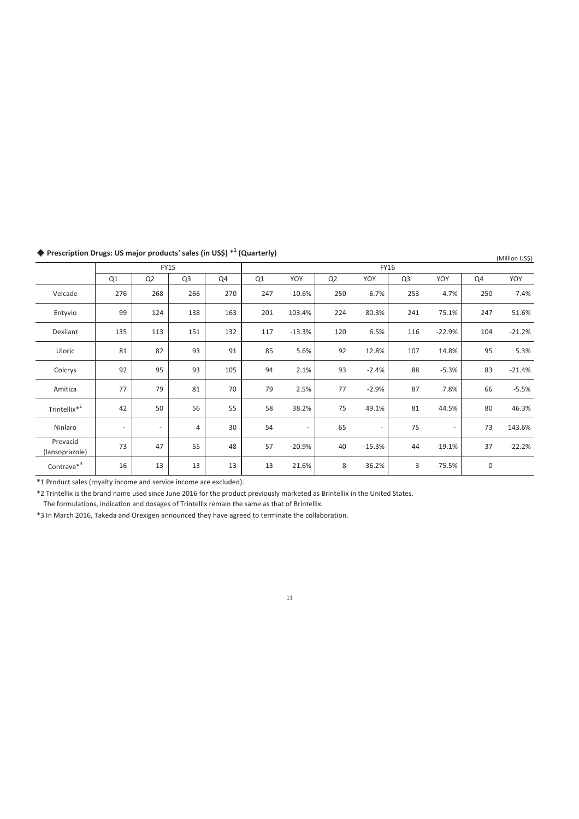|                            | <b>FY15</b>              |                          |                |     |     | <b>FY16</b>              |                |                          |                |                          |      |          |
|----------------------------|--------------------------|--------------------------|----------------|-----|-----|--------------------------|----------------|--------------------------|----------------|--------------------------|------|----------|
|                            | Q <sub>1</sub>           | Q <sub>2</sub>           | Q <sub>3</sub> | Q4  | Q1  | YOY                      | Q <sub>2</sub> | YOY                      | Q <sub>3</sub> | YOY                      | Q4   | YOY      |
| Velcade                    | 276                      | 268                      | 266            | 270 | 247 | $-10.6%$                 | 250            | $-6.7%$                  | 253            | $-4.7%$                  | 250  | $-7.4%$  |
| Entyvio                    | 99                       | 124                      | 138            | 163 | 201 | 103.4%                   | 224            | 80.3%                    | 241            | 75.1%                    | 247  | 51.6%    |
| Dexilant                   | 135                      | 113                      | 151            | 132 | 117 | $-13.3%$                 | 120            | 6.5%                     | 116            | $-22.9%$                 | 104  | $-21.2%$ |
| Uloric                     | 81                       | 82                       | 93             | 91  | 85  | 5.6%                     | 92             | 12.8%                    | 107            | 14.8%                    | 95   | 5.3%     |
| Colcrys                    | 92                       | 95                       | 93             | 105 | 94  | 2.1%                     | 93             | $-2.4%$                  | 88             | $-5.3%$                  | 83   | $-21.4%$ |
| Amitiza                    | 77                       | 79                       | 81             | 70  | 79  | 2.5%                     | 77             | $-2.9%$                  | 87             | 7.8%                     | 66   | $-5.5%$  |
| Trintellix* <sup>2</sup>   | 42                       | 50                       | 56             | 55  | 58  | 38.2%                    | 75             | 49.1%                    | 81             | 44.5%                    | 80   | 46.3%    |
| Ninlaro                    | $\overline{\phantom{a}}$ | $\overline{\phantom{a}}$ | 4              | 30  | 54  | $\overline{\phantom{a}}$ | 65             | $\overline{\phantom{a}}$ | 75             | $\overline{\phantom{a}}$ | 73   | 143.6%   |
| Prevacid<br>(lansoprazole) | 73                       | 47                       | 55             | 48  | 57  | $-20.9%$                 | 40             | $-15.3%$                 | 44             | $-19.1%$                 | 37   | $-22.2%$ |
| $\text{Contrave}^{*3}$     | 16                       | 13                       | 13             | 13  | 13  | $-21.6%$                 | 8              | $-36.2%$                 | 3              | $-75.5%$                 | $-0$ |          |

◆ Prescription Drugs: US major products' sales (in US\$) <sup>\*1</sup> (Quarterly)

 **(Quarterly)** (Million US\$)

\*1 Product sales (royalty income and service income are excluded).

\*2 Trintellix is the brand name used since June 2016 for the product previously marketed as Brintellix in the United States.

The formulations, indication and dosages of Trintellix remain the same as that of Brintellix.

\*3 In March 2016, Takeda and Orexigen announced they have agreed to terminate the collaboration.

11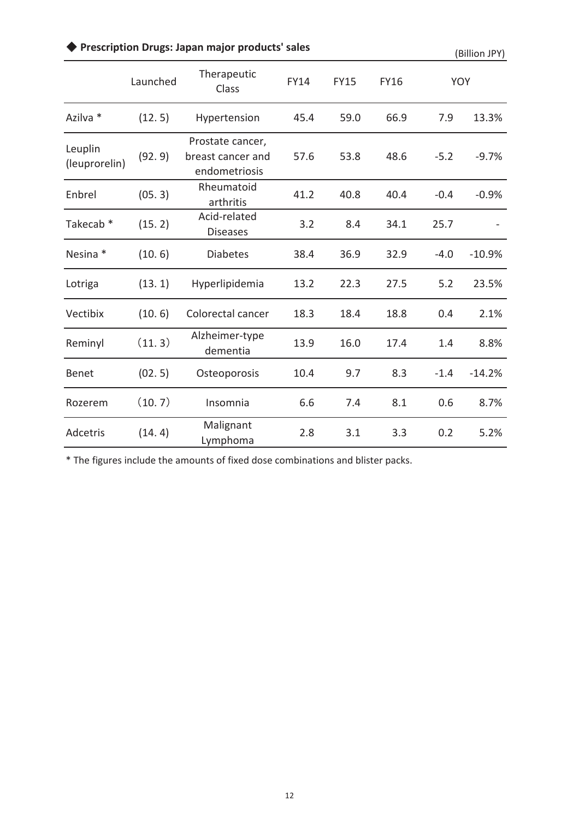# ◆ Prescription Drugs: Japan major products' sales (Billion JPY)

|                          | Launched | Therapeutic<br>Class                                   | <b>FY14</b> | <b>FY15</b> | <b>FY16</b> | <b>YOY</b> |          |
|--------------------------|----------|--------------------------------------------------------|-------------|-------------|-------------|------------|----------|
| Azilva *                 | (12.5)   | Hypertension                                           | 45.4        | 59.0        | 66.9        | 7.9        | 13.3%    |
| Leuplin<br>(leuprorelin) | (92.9)   | Prostate cancer,<br>breast cancer and<br>endometriosis | 57.6        | 53.8        | 48.6        | $-5.2$     | $-9.7%$  |
| Enbrel                   | (05.3)   | Rheumatoid<br>arthritis                                | 41.2        | 40.8        | 40.4        | $-0.4$     | $-0.9%$  |
| Takecab <sup>*</sup>     | (15.2)   | Acid-related<br><b>Diseases</b>                        | 3.2         | 8.4         | 34.1        | 25.7       |          |
| Nesina *                 | (10.6)   | <b>Diabetes</b>                                        | 38.4        | 36.9        | 32.9        | $-4.0$     | $-10.9%$ |
| Lotriga                  | (13.1)   | Hyperlipidemia                                         | 13.2        | 22.3        | 27.5        | 5.2        | 23.5%    |
| Vectibix                 | (10.6)   | Colorectal cancer                                      | 18.3        | 18.4        | 18.8        | 0.4        | 2.1%     |
| Reminyl                  | (11.3)   | Alzheimer-type<br>dementia                             | 13.9        | 16.0        | 17.4        | 1.4        | 8.8%     |
| <b>Benet</b>             | (02.5)   | Osteoporosis                                           | 10.4        | 9.7         | 8.3         | $-1.4$     | $-14.2%$ |
| Rozerem                  | (10.7)   | Insomnia                                               | 6.6         | 7.4         | 8.1         | 0.6        | 8.7%     |
| Adcetris                 | (14.4)   | Malignant<br>Lymphoma                                  | 2.8         | 3.1         | 3.3         | 0.2        | 5.2%     |

\* The figures include the amounts of fixed dose combinations and blister packs.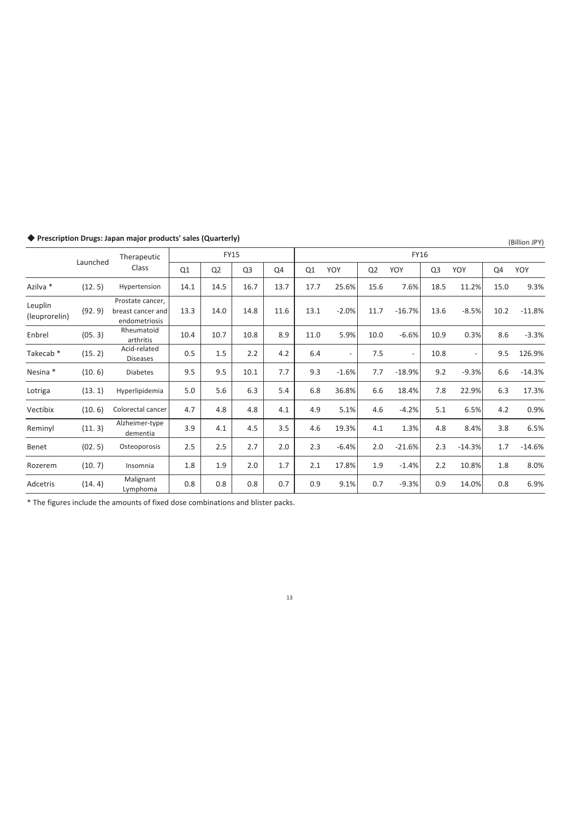|                          | Launched | Therapeutic                                            |      | <b>FY15</b>    |                |      | <b>FY16</b> |                          |                |          |                |          |      |          |
|--------------------------|----------|--------------------------------------------------------|------|----------------|----------------|------|-------------|--------------------------|----------------|----------|----------------|----------|------|----------|
|                          |          | Class                                                  | Q1   | Q <sub>2</sub> | Q <sub>3</sub> | Q4   | Q1          | YOY                      | Q <sub>2</sub> | YOY      | Q <sub>3</sub> | YOY      | Q4   | YOY      |
| Azilva *                 | (12.5)   | Hypertension                                           | 14.1 | 14.5           | 16.7           | 13.7 | 17.7        | 25.6%                    | 15.6           | 7.6%     | 18.5           | 11.2%    | 15.0 | 9.3%     |
| Leuplin<br>(leuprorelin) | (92.9)   | Prostate cancer,<br>breast cancer and<br>endometriosis | 13.3 | 14.0           | 14.8           | 11.6 | 13.1        | $-2.0%$                  | 11.7           | $-16.7%$ | 13.6           | $-8.5%$  | 10.2 | $-11.8%$ |
| Enbrel                   | (05.3)   | Rheumatoid<br>arthritis                                | 10.4 | 10.7           | 10.8           | 8.9  | 11.0        | 5.9%                     | 10.0           | $-6.6%$  | 10.9           | 0.3%     | 8.6  | $-3.3%$  |
| Takecab <sup>*</sup>     | (15.2)   | Acid-related<br><b>Diseases</b>                        | 0.5  | 1.5            | 2.2            | 4.2  | 6.4         | $\overline{\phantom{a}}$ | 7.5            | $\sim$   | 10.8           |          | 9.5  | 126.9%   |
| Nesina *                 | (10.6)   | Diabetes                                               | 9.5  | 9.5            | 10.1           | 7.7  | 9.3         | $-1.6%$                  | 7.7            | $-18.9%$ | 9.2            | $-9.3%$  | 6.6  | $-14.3%$ |
| Lotriga                  | (13.1)   | Hyperlipidemia                                         | 5.0  | 5.6            | 6.3            | 5.4  | 6.8         | 36.8%                    | 6.6            | 18.4%    | 7.8            | 22.9%    | 6.3  | 17.3%    |
| Vectibix                 | (10.6)   | Colorectal cancer                                      | 4.7  | 4.8            | 4.8            | 4.1  | 4.9         | 5.1%                     | 4.6            | $-4.2%$  | 5.1            | 6.5%     | 4.2  | 0.9%     |
| Reminyl                  | (11.3)   | Alzheimer-type<br>dementia                             | 3.9  | 4.1            | 4.5            | 3.5  | 4.6         | 19.3%                    | 4.1            | 1.3%     | 4.8            | 8.4%     | 3.8  | 6.5%     |
| Benet                    | (02.5)   | Osteoporosis                                           | 2.5  | 2.5            | 2.7            | 2.0  | 2.3         | $-6.4%$                  | 2.0            | $-21.6%$ | 2.3            | $-14.3%$ | 1.7  | $-14.6%$ |
| Rozerem                  | (10.7)   | Insomnia                                               | 1.8  | 1.9            | 2.0            | 1.7  | 2.1         | 17.8%                    | 1.9            | $-1.4%$  | 2.2            | 10.8%    | 1.8  | 8.0%     |
| Adcetris                 | (14.4)   | Malignant<br>Lymphoma                                  | 0.8  | 0.8            | 0.8            | 0.7  | 0.9         | 9.1%                     | 0.7            | $-9.3%$  | 0.9            | 14.0%    | 0.8  | 6.9%     |

### ◆ Prescription Drugs: Japan major products' sales (Quarterly) (Billion JPY) (Billion JPY)

\* The figures include the amounts of fixed dose combinations and blister packs.

13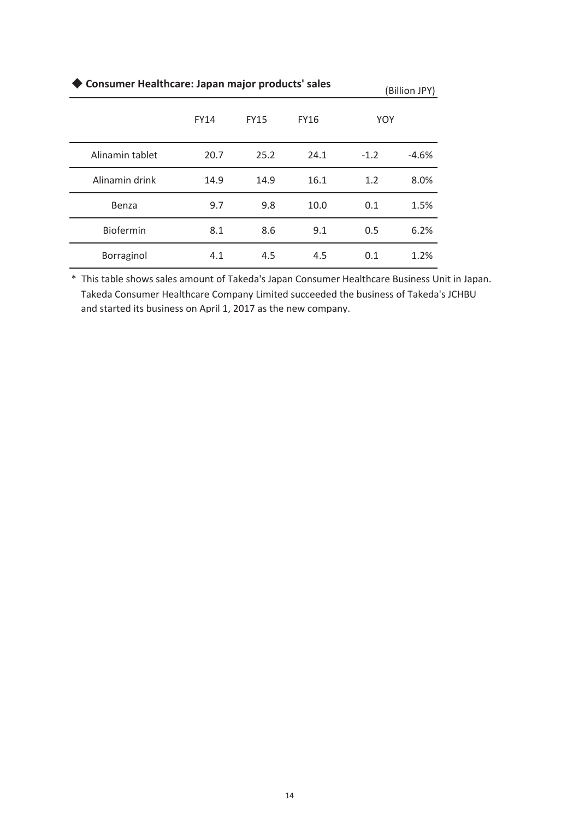| ◆ Consumer Healthcare: Japan major products' sales<br>(Billion JPY) |             |             |             |            |         |  |  |  |  |
|---------------------------------------------------------------------|-------------|-------------|-------------|------------|---------|--|--|--|--|
|                                                                     | <b>FY14</b> | <b>FY15</b> | <b>FY16</b> | <b>YOY</b> |         |  |  |  |  |
| Alinamin tablet                                                     | 20.7        | 25.2        | 24.1        | $-1.2$     | $-4.6%$ |  |  |  |  |
| Alinamin drink                                                      | 14.9        | 14.9        | 16.1        | 1.2        | 8.0%    |  |  |  |  |
| Benza                                                               | 9.7         | 9.8         | 10.0        | 0.1        | 1.5%    |  |  |  |  |
| <b>Biofermin</b>                                                    | 8.1         | 8.6         | 9.1         | 0.5        | 6.2%    |  |  |  |  |
| Borraginol                                                          | 4.1         | 4.5         | 4.5         | 0.1        | 1.2%    |  |  |  |  |

\* This table shows sales amount of Takeda's Japan Consumer Healthcare Business Unit in Japan. Takeda Consumer Healthcare Company Limited succeeded the business of Takeda's JCHBU and started its business on April 1, 2017 as the new company.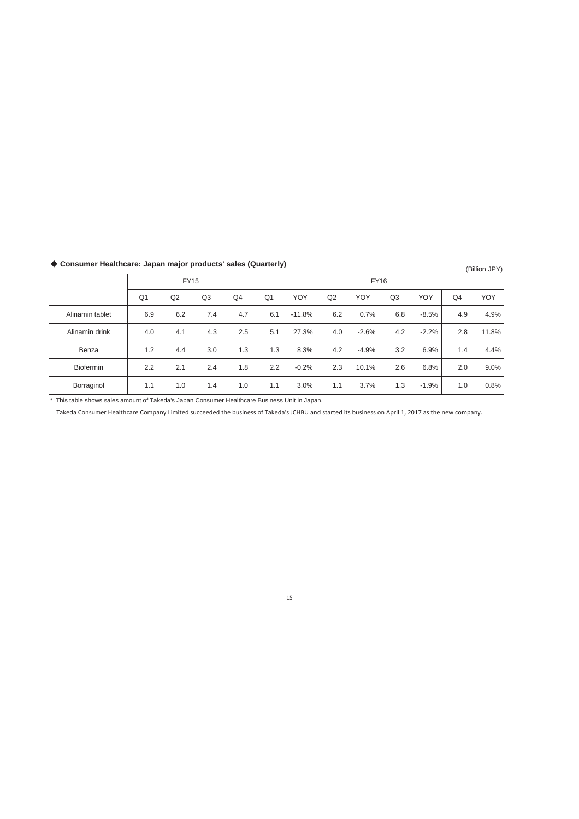|                  | <b>FY15</b>    |     |     |                | <b>FY16</b>    |          |     |         |     |         |                |       |
|------------------|----------------|-----|-----|----------------|----------------|----------|-----|---------|-----|---------|----------------|-------|
|                  | Q <sub>1</sub> | Q2  | Q3  | Q <sub>4</sub> | Q <sub>1</sub> | YOY      | Q2  | YOY     | Q3  | YOY     | Q <sub>4</sub> | YOY   |
| Alinamin tablet  | 6.9            | 6.2 | 7.4 | 4.7            | 6.1            | $-11.8%$ | 6.2 | 0.7%    | 6.8 | $-8.5%$ | 4.9            | 4.9%  |
| Alinamin drink   | 4.0            | 4.1 | 4.3 | 2.5            | 5.1            | 27.3%    | 4.0 | $-2.6%$ | 4.2 | $-2.2%$ | 2.8            | 11.8% |
| Benza            | 1.2            | 4.4 | 3.0 | 1.3            | 1.3            | 8.3%     | 4.2 | $-4.9%$ | 3.2 | 6.9%    | 1.4            | 4.4%  |
| <b>Biofermin</b> | 2.2            | 2.1 | 2.4 | 1.8            | 2.2            | $-0.2%$  | 2.3 | 10.1%   | 2.6 | 6.8%    | 2.0            | 9.0%  |
| Borraginol       | 1.1            | 1.0 | 1.4 | 1.0            | 1.1            | 3.0%     | 1.1 | 3.7%    | 1.3 | $-1.9%$ | 1.0            | 0.8%  |

# ◆ Consumer Healthcare: Japan major products' sales (Quarterly) (Billion JPY) (Billion JPY)

\* This table shows sales amount of Takeda's Japan Consumer Healthcare Business Unit in Japan.

Takeda Consumer Healthcare Company Limited succeeded the business of Takeda's JCHBU and started its business on April 1, 2017 as the new company.

#### 15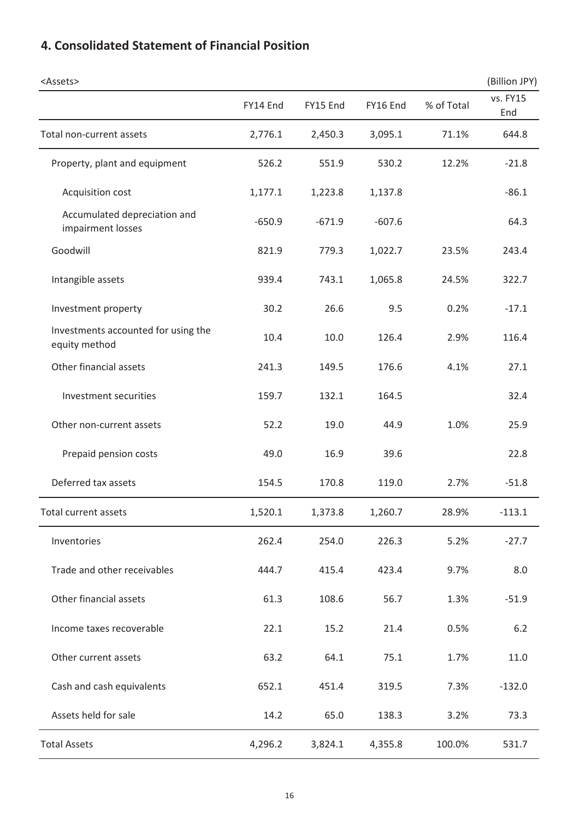| <assets></assets>                                    |          |          |          |            | (Billion JPY)   |
|------------------------------------------------------|----------|----------|----------|------------|-----------------|
|                                                      | FY14 End | FY15 End | FY16 End | % of Total | vs. FY15<br>End |
| Total non-current assets                             | 2,776.1  | 2,450.3  | 3,095.1  | 71.1%      | 644.8           |
| Property, plant and equipment                        | 526.2    | 551.9    | 530.2    | 12.2%      | $-21.8$         |
| Acquisition cost                                     | 1,177.1  | 1,223.8  | 1,137.8  |            | $-86.1$         |
| Accumulated depreciation and<br>impairment losses    | $-650.9$ | $-671.9$ | $-607.6$ |            | 64.3            |
| Goodwill                                             | 821.9    | 779.3    | 1,022.7  | 23.5%      | 243.4           |
| Intangible assets                                    | 939.4    | 743.1    | 1,065.8  | 24.5%      | 322.7           |
| Investment property                                  | 30.2     | 26.6     | 9.5      | 0.2%       | $-17.1$         |
| Investments accounted for using the<br>equity method | 10.4     | 10.0     | 126.4    | 2.9%       | 116.4           |
| Other financial assets                               | 241.3    | 149.5    | 176.6    | 4.1%       | 27.1            |
| Investment securities                                | 159.7    | 132.1    | 164.5    |            | 32.4            |
| Other non-current assets                             | 52.2     | 19.0     | 44.9     | 1.0%       | 25.9            |
| Prepaid pension costs                                | 49.0     | 16.9     | 39.6     |            | 22.8            |
| Deferred tax assets                                  | 154.5    | 170.8    | 119.0    | 2.7%       | $-51.8$         |
| <b>Total current assets</b>                          | 1,520.1  | 1,373.8  | 1,260.7  | 28.9%      | $-113.1$        |
| Inventories                                          | 262.4    | 254.0    | 226.3    | 5.2%       | $-27.7$         |
| Trade and other receivables                          | 444.7    | 415.4    | 423.4    | 9.7%       | 8.0             |
| Other financial assets                               | 61.3     | 108.6    | 56.7     | 1.3%       | $-51.9$         |
| Income taxes recoverable                             | 22.1     | 15.2     | 21.4     | 0.5%       | 6.2             |
| Other current assets                                 | 63.2     | 64.1     | 75.1     | 1.7%       | 11.0            |
| Cash and cash equivalents                            | 652.1    | 451.4    | 319.5    | 7.3%       | $-132.0$        |
| Assets held for sale                                 | 14.2     | 65.0     | 138.3    | 3.2%       | 73.3            |
| <b>Total Assets</b>                                  | 4,296.2  | 3,824.1  | 4,355.8  | 100.0%     | 531.7           |

# **4. Consolidated Statement of Financial Position**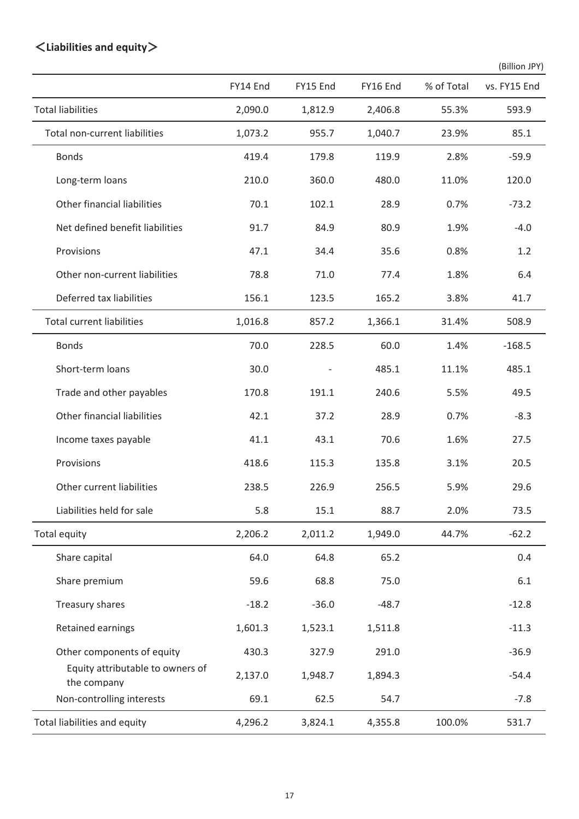# 䠘**Liabilities and equity**䠚

|                                                 |          |          |          |            | (Billion JPY) |
|-------------------------------------------------|----------|----------|----------|------------|---------------|
|                                                 | FY14 End | FY15 End | FY16 End | % of Total | vs. FY15 End  |
| <b>Total liabilities</b>                        | 2,090.0  | 1,812.9  | 2,406.8  | 55.3%      | 593.9         |
| Total non-current liabilities                   | 1,073.2  | 955.7    | 1,040.7  | 23.9%      | 85.1          |
| <b>Bonds</b>                                    | 419.4    | 179.8    | 119.9    | 2.8%       | $-59.9$       |
| Long-term loans                                 | 210.0    | 360.0    | 480.0    | 11.0%      | 120.0         |
| Other financial liabilities                     | 70.1     | 102.1    | 28.9     | 0.7%       | $-73.2$       |
| Net defined benefit liabilities                 | 91.7     | 84.9     | 80.9     | 1.9%       | $-4.0$        |
| Provisions                                      | 47.1     | 34.4     | 35.6     | 0.8%       | 1.2           |
| Other non-current liabilities                   | 78.8     | 71.0     | 77.4     | 1.8%       | 6.4           |
| Deferred tax liabilities                        | 156.1    | 123.5    | 165.2    | 3.8%       | 41.7          |
| <b>Total current liabilities</b>                | 1,016.8  | 857.2    | 1,366.1  | 31.4%      | 508.9         |
| <b>Bonds</b>                                    | 70.0     | 228.5    | 60.0     | 1.4%       | $-168.5$      |
| Short-term loans                                | 30.0     |          | 485.1    | 11.1%      | 485.1         |
| Trade and other payables                        | 170.8    | 191.1    | 240.6    | 5.5%       | 49.5          |
| Other financial liabilities                     | 42.1     | 37.2     | 28.9     | 0.7%       | $-8.3$        |
| Income taxes payable                            | 41.1     | 43.1     | 70.6     | 1.6%       | 27.5          |
| Provisions                                      | 418.6    | 115.3    | 135.8    | 3.1%       | 20.5          |
| Other current liabilities                       | 238.5    | 226.9    | 256.5    | 5.9%       | 29.6          |
| Liabilities held for sale                       | 5.8      | 15.1     | 88.7     | 2.0%       | 73.5          |
| Total equity                                    | 2,206.2  | 2,011.2  | 1,949.0  | 44.7%      | $-62.2$       |
| Share capital                                   | 64.0     | 64.8     | 65.2     |            | 0.4           |
| Share premium                                   | 59.6     | 68.8     | 75.0     |            | 6.1           |
| Treasury shares                                 | $-18.2$  | $-36.0$  | $-48.7$  |            | $-12.8$       |
| <b>Retained earnings</b>                        | 1,601.3  | 1,523.1  | 1,511.8  |            | $-11.3$       |
| Other components of equity                      | 430.3    | 327.9    | 291.0    |            | $-36.9$       |
| Equity attributable to owners of<br>the company | 2,137.0  | 1,948.7  | 1,894.3  |            | $-54.4$       |
| Non-controlling interests                       | 69.1     | 62.5     | 54.7     |            | $-7.8$        |
| Total liabilities and equity                    | 4,296.2  | 3,824.1  | 4,355.8  | 100.0%     | 531.7         |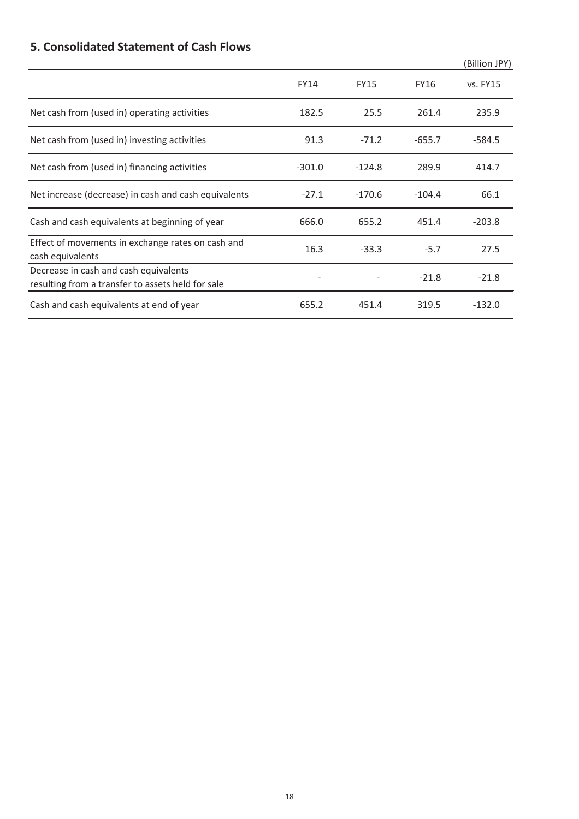# **5. Consolidated Statement of Cash Flows**

|                                                                                            |             |             |             | (Billion JPY) |
|--------------------------------------------------------------------------------------------|-------------|-------------|-------------|---------------|
|                                                                                            | <b>FY14</b> | <b>FY15</b> | <b>FY16</b> | vs. FY15      |
| Net cash from (used in) operating activities                                               | 182.5       | 25.5        | 261.4       | 235.9         |
| Net cash from (used in) investing activities                                               | 91.3        | $-71.2$     | $-655.7$    | $-584.5$      |
| Net cash from (used in) financing activities                                               | $-301.0$    | $-124.8$    | 289.9       | 414.7         |
| Net increase (decrease) in cash and cash equivalents                                       | $-27.1$     | $-170.6$    | $-104.4$    | 66.1          |
| Cash and cash equivalents at beginning of year                                             | 666.0       | 655.2       | 451.4       | $-203.8$      |
| Effect of movements in exchange rates on cash and<br>cash equivalents                      | 16.3        | $-33.3$     | $-5.7$      | 27.5          |
| Decrease in cash and cash equivalents<br>resulting from a transfer to assets held for sale |             |             | $-21.8$     | $-21.8$       |
| Cash and cash equivalents at end of year                                                   | 655.2       | 451.4       | 319.5       | $-132.0$      |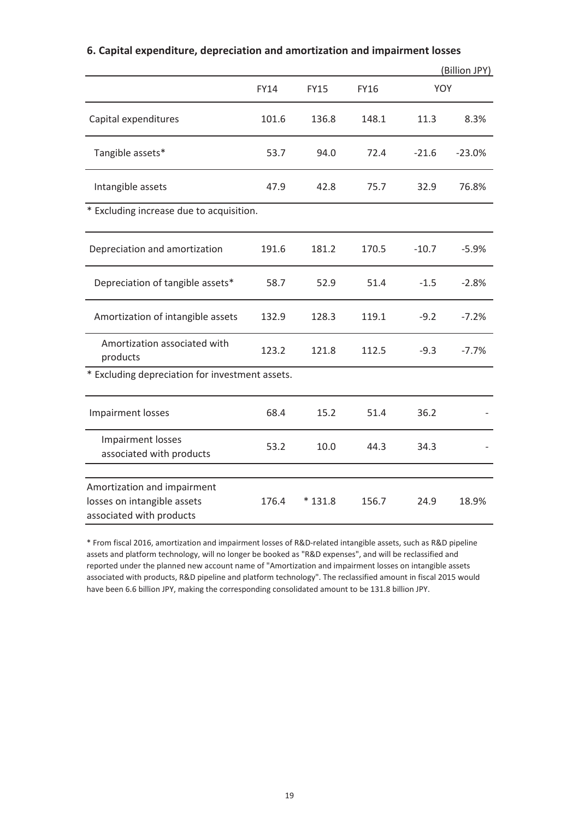|                                                                                        |             |             |             |         | (Billion JPY) |
|----------------------------------------------------------------------------------------|-------------|-------------|-------------|---------|---------------|
|                                                                                        | <b>FY14</b> | <b>FY15</b> | <b>FY16</b> | YOY     |               |
| Capital expenditures                                                                   | 101.6       | 136.8       | 148.1       | 11.3    | 8.3%          |
| Tangible assets*                                                                       | 53.7        | 94.0        | 72.4        | $-21.6$ | $-23.0%$      |
| Intangible assets                                                                      | 47.9        | 42.8        | 75.7        | 32.9    | 76.8%         |
| * Excluding increase due to acquisition.                                               |             |             |             |         |               |
| Depreciation and amortization                                                          | 191.6       | 181.2       | 170.5       | $-10.7$ | $-5.9%$       |
| Depreciation of tangible assets*                                                       | 58.7        | 52.9        | 51.4        | $-1.5$  | $-2.8%$       |
| Amortization of intangible assets                                                      | 132.9       | 128.3       | 119.1       | $-9.2$  | $-7.2%$       |
| Amortization associated with<br>products                                               | 123.2       | 121.8       | 112.5       | $-9.3$  | $-7.7%$       |
| * Excluding depreciation for investment assets.                                        |             |             |             |         |               |
| Impairment losses                                                                      | 68.4        | 15.2        | 51.4        | 36.2    |               |
| <b>Impairment losses</b><br>associated with products                                   | 53.2        | 10.0        | 44.3        | 34.3    |               |
|                                                                                        |             |             |             |         |               |
| Amortization and impairment<br>losses on intangible assets<br>associated with products | 176.4       | $*131.8$    | 156.7       | 24.9    | 18.9%         |

### **6. Capital expenditure, depreciation and amortization and impairment losses**

\* From fiscal 2016, amortization and impairment losses of R&D-related intangible assets, such as R&D pipeline assets and platform technology, will no longer be booked as "R&D expenses", and will be reclassified and reported under the planned new account name of "Amortization and impairment losses on intangible assets associated with products, R&D pipeline and platform technology". The reclassified amount in fiscal 2015 would have been 6.6 billion JPY, making the corresponding consolidated amount to be 131.8 billion JPY.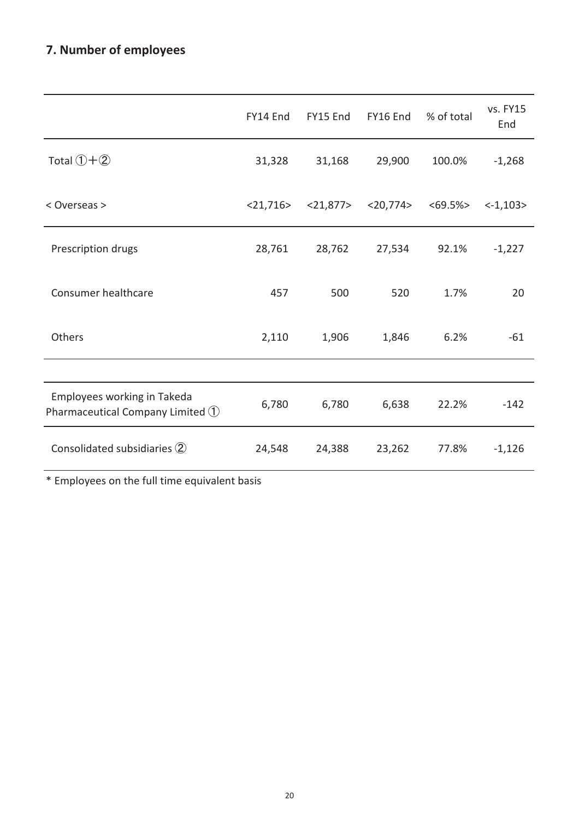# **7. Number of employees**

|                                                                                         | FY14 End       | FY15 End    | FY16 End       | % of total | vs. FY15<br>End |
|-----------------------------------------------------------------------------------------|----------------|-------------|----------------|------------|-----------------|
| Total $(1+2)$                                                                           | 31,328         | 31,168      | 29,900         | 100.0%     | $-1,268$        |
| < Overseas >                                                                            | $<$ 21,716 $>$ | $<$ 21,877> | $<$ 20,774 $>$ | $<69.5\%>$ | $< -1,103>$     |
| Prescription drugs                                                                      | 28,761         | 28,762      | 27,534         | 92.1%      | $-1,227$        |
| Consumer healthcare                                                                     | 457            | 500         | 520            | 1.7%       | 20              |
| Others                                                                                  | 2,110          | 1,906       | 1,846          | 6.2%       | $-61$           |
|                                                                                         |                |             |                |            |                 |
| Employees working in Takeda<br>Pharmaceutical Company Limited $\textcircled{\small{1}}$ | 6,780          | 6,780       | 6,638          | 22.2%      | $-142$          |
| Consolidated subsidiaries 2                                                             | 24,548         | 24,388      | 23,262         | 77.8%      | $-1,126$        |
|                                                                                         |                |             |                |            |                 |

\* Employees on the full time equivalent basis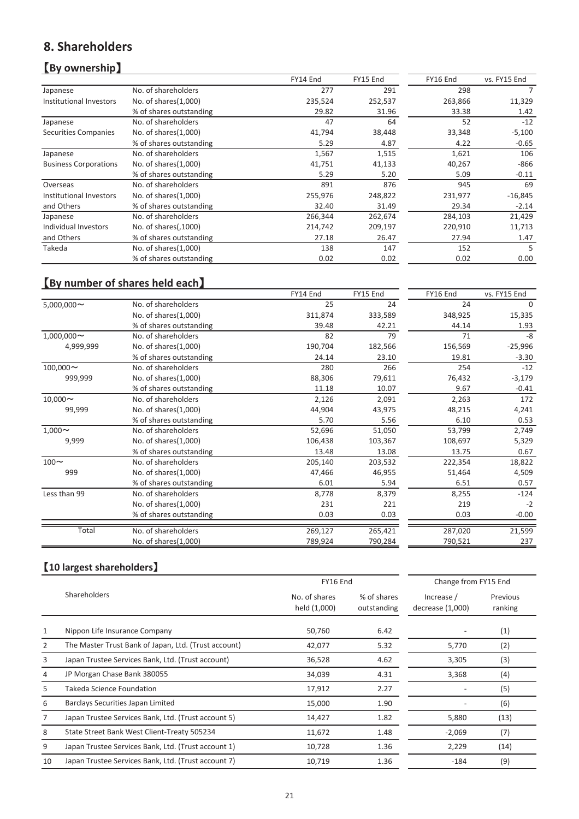## **8. Shareholders**

## **[**By ownership]

|                              |                         | FY14 End | FY15 End | FY16 End | vs. FY15 End |
|------------------------------|-------------------------|----------|----------|----------|--------------|
| Japanese                     | No. of shareholders     | 277      | 291      | 298      |              |
| Institutional Investors      | No. of shares(1,000)    | 235,524  | 252,537  | 263,866  | 11,329       |
|                              | % of shares outstanding | 29.82    | 31.96    | 33.38    | 1.42         |
| Japanese                     | No. of shareholders     | 47       | 64       | 52       | $-12$        |
| Securities Companies         | No. of shares(1,000)    | 41,794   | 38,448   | 33,348   | $-5,100$     |
|                              | % of shares outstanding | 5.29     | 4.87     | 4.22     | $-0.65$      |
| Japanese                     | No. of shareholders     | 1,567    | 1,515    | 1,621    | 106          |
| <b>Business Corporations</b> | No. of shares $(1,000)$ | 41,751   | 41,133   | 40,267   | $-866$       |
|                              | % of shares outstanding | 5.29     | 5.20     | 5.09     | $-0.11$      |
| Overseas                     | No. of shareholders     | 891      | 876      | 945      | 69           |
| Institutional Investors      | No. of shares(1,000)    | 255,976  | 248,822  | 231,977  | $-16,845$    |
| and Others                   | % of shares outstanding | 32.40    | 31.49    | 29.34    | $-2.14$      |
| Japanese                     | No. of shareholders     | 266,344  | 262,674  | 284,103  | 21,429       |
| Individual Investors         | No. of shares(,1000)    | 214,742  | 209,197  | 220,910  | 11,713       |
| and Others                   | % of shares outstanding | 27.18    | 26.47    | 27.94    | 1.47         |
| Takeda                       | No. of shares(1,000)    | 138      | 147      | 152      | 5            |
|                              | % of shares outstanding | 0.02     | 0.02     | 0.02     | 0.00         |

# **[By number of shares held each]**

|                  |                         | FY14 End | FY15 End | FY16 End | vs. FY15 End |
|------------------|-------------------------|----------|----------|----------|--------------|
| $5,000,000 \sim$ | No. of shareholders     | 25       | 24       | 24       | 0            |
|                  | No. of shares(1,000)    | 311,874  | 333,589  | 348,925  | 15,335       |
|                  | % of shares outstanding | 39.48    | 42.21    | 44.14    | 1.93         |
| $1,000,000 \sim$ | No. of shareholders     | 82       | 79       | 71       | -8           |
| 4,999,999        | No. of shares(1,000)    | 190,704  | 182,566  | 156,569  | $-25,996$    |
|                  | % of shares outstanding | 24.14    | 23.10    | 19.81    | $-3.30$      |
| $100,000 \sim$   | No. of shareholders     | 280      | 266      | 254      | $-12$        |
| 999,999          | No. of shares(1,000)    | 88,306   | 79,611   | 76,432   | $-3,179$     |
|                  | % of shares outstanding | 11.18    | 10.07    | 9.67     | $-0.41$      |
| $10,000 \sim$    | No. of shareholders     | 2,126    | 2,091    | 2,263    | 172          |
| 99,999           | No. of shares(1,000)    | 44,904   | 43,975   | 48,215   | 4,241        |
|                  | % of shares outstanding | 5.70     | 5.56     | 6.10     | 0.53         |
| $1,000 \sim$     | No. of shareholders     | 52,696   | 51,050   | 53,799   | 2,749        |
| 9,999            | No. of shares(1,000)    | 106,438  | 103,367  | 108,697  | 5,329        |
|                  | % of shares outstanding | 13.48    | 13.08    | 13.75    | 0.67         |
| $100 \sim$       | No. of shareholders     | 205,140  | 203,532  | 222,354  | 18,822       |
| 999              | No. of shares(1,000)    | 47,466   | 46,955   | 51,464   | 4,509        |
|                  | % of shares outstanding | 6.01     | 5.94     | 6.51     | 0.57         |
| Less than 99     | No. of shareholders     | 8,778    | 8,379    | 8,255    | $-124$       |
|                  | No. of shares(1,000)    | 231      | 221      | 219      | $-2$         |
|                  | % of shares outstanding | 0.03     | 0.03     | 0.03     | $-0.00$      |
| Total            | No. of shareholders     | 269,127  | 265,421  | 287,020  | 21,599       |
|                  | No. of shares(1,000)    | 789,924  | 790,284  | 790,521  | 237          |
|                  |                         |          |          |          |              |

## 䛆**10 largest shareholders**䛇

|    | [10 largest shareholders]                            |                               |                            |                                |                     |
|----|------------------------------------------------------|-------------------------------|----------------------------|--------------------------------|---------------------|
|    |                                                      | FY16 End                      |                            | Change from FY15 End           |                     |
|    | Shareholders                                         | No. of shares<br>held (1,000) | % of shares<br>outstanding | Increase /<br>decrease (1,000) | Previous<br>ranking |
| 1  | Nippon Life Insurance Company                        | 50,760                        | 6.42                       |                                | (1)                 |
| 2  | The Master Trust Bank of Japan, Ltd. (Trust account) | 42,077                        | 5.32                       | 5,770                          | (2)                 |
| 3  | Japan Trustee Services Bank, Ltd. (Trust account)    | 36,528                        | 4.62                       | 3,305                          | (3)                 |
| 4  | JP Morgan Chase Bank 380055                          | 34,039                        | 4.31                       | 3,368                          | (4)                 |
| 5  | Takeda Science Foundation                            | 17,912                        | 2.27                       |                                | (5)                 |
| 6  | Barclays Securities Japan Limited                    | 15,000                        | 1.90                       |                                | (6)                 |
| 7  | Japan Trustee Services Bank, Ltd. (Trust account 5)  | 14,427                        | 1.82                       | 5,880                          | (13)                |
| 8  | State Street Bank West Client-Treaty 505234          | 11,672                        | 1.48                       | $-2,069$                       | (7)                 |
| 9  | Japan Trustee Services Bank, Ltd. (Trust account 1)  | 10,728                        | 1.36                       | 2,229                          | (14)                |
| 10 | Japan Trustee Services Bank, Ltd. (Trust account 7)  | 10,719                        | 1.36                       | $-184$                         | (9)                 |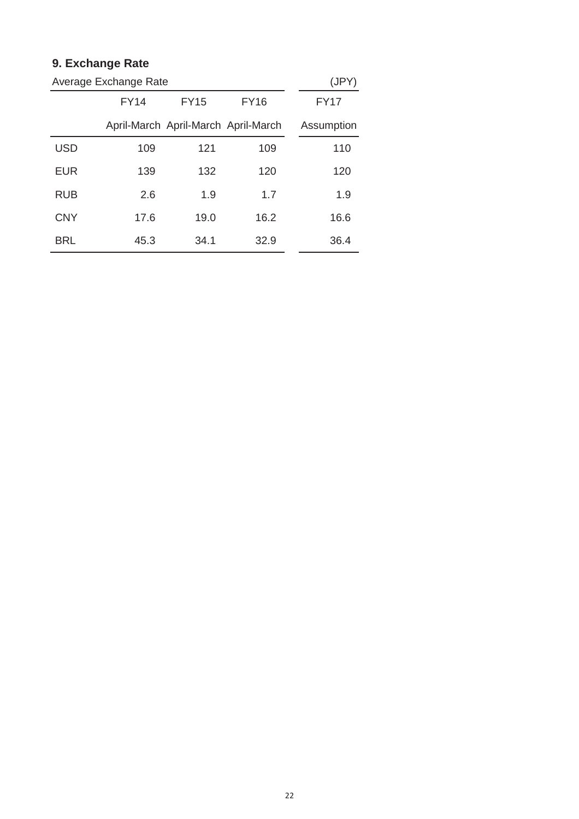# **9. Exchange Rate**

| Average Exchange Rate | (JPY)       |                                     |             |             |
|-----------------------|-------------|-------------------------------------|-------------|-------------|
|                       | <b>FY14</b> | <b>FY15</b>                         | <b>FY16</b> | <b>FY17</b> |
|                       |             | April-March April-March April-March |             | Assumption  |
| <b>USD</b>            | 109         | 121                                 | 109         | 110         |
| EUR                   | 139         | 132                                 | 120         | 120         |
| <b>RUB</b>            | 2.6         | 1.9                                 | 1.7         | 1.9         |
| <b>CNY</b>            | 17.6        | 19.0                                | 16.2        | 16.6        |
| BRL                   | 45.3        | 34.1                                | 32.9        | 36.4        |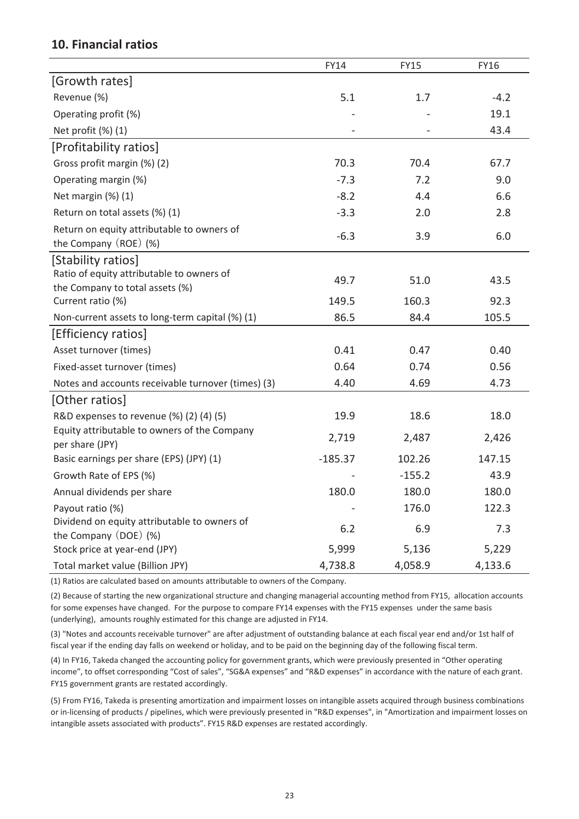### **10. Financial ratios**

|                                                                                         | FY14      | <b>FY15</b> | FY16    |
|-----------------------------------------------------------------------------------------|-----------|-------------|---------|
| [Growth rates]                                                                          |           |             |         |
| Revenue (%)                                                                             | 5.1       | 1.7         | $-4.2$  |
| Operating profit (%)                                                                    |           |             | 19.1    |
| Net profit (%) (1)                                                                      |           |             | 43.4    |
| [Profitability ratios]                                                                  |           |             |         |
| Gross profit margin (%) (2)                                                             | 70.3      | 70.4        | 67.7    |
| Operating margin (%)                                                                    | $-7.3$    | 7.2         | 9.0     |
| Net margin (%) (1)                                                                      | $-8.2$    | 4.4         | 6.6     |
| Return on total assets (%) (1)                                                          | $-3.3$    | 2.0         | 2.8     |
| Return on equity attributable to owners of<br>the Company (ROE) (%)                     | $-6.3$    | 3.9         | 6.0     |
| [Stability ratios]                                                                      |           |             |         |
| Ratio of equity attributable to owners of                                               | 49.7      | 51.0        | 43.5    |
| the Company to total assets (%)                                                         | 149.5     | 160.3       |         |
| Current ratio (%)                                                                       | 86.5      | 84.4        | 92.3    |
| Non-current assets to long-term capital (%) (1)                                         |           |             | 105.5   |
| [Efficiency ratios]                                                                     | 0.41      |             | 0.40    |
| Asset turnover (times)                                                                  |           | 0.47        |         |
| Fixed-asset turnover (times)                                                            | 0.64      | 0.74        | 0.56    |
| Notes and accounts receivable turnover (times) (3)                                      | 4.40      | 4.69        | 4.73    |
| [Other ratios]                                                                          |           |             |         |
| R&D expenses to revenue (%) (2) (4) (5)<br>Equity attributable to owners of the Company | 19.9      | 18.6        | 18.0    |
| per share (JPY)                                                                         | 2,719     | 2,487       | 2,426   |
| Basic earnings per share (EPS) (JPY) (1)                                                | $-185.37$ | 102.26      | 147.15  |
| Growth Rate of EPS (%)                                                                  |           | $-155.2$    | 43.9    |
| Annual dividends per share                                                              | 180.0     | 180.0       | 180.0   |
| Payout ratio (%)                                                                        |           | 176.0       | 122.3   |
| Dividend on equity attributable to owners of<br>the Company (DOE) (%)                   | 6.2       | 6.9         | 7.3     |
| Stock price at year-end (JPY)                                                           | 5,999     | 5,136       | 5,229   |
| Total market value (Billion JPY)                                                        | 4,738.8   | 4,058.9     | 4,133.6 |

(1) Ratios are calculated based on amounts attributable to owners of the Company.

(2) Because of starting the new organizational structure and changing managerial accounting method from FY15, allocation accounts for some expenses have changed. For the purpose to compare FY14 expenses with the FY15 expenses under the same basis (underlying), amounts roughly estimated for this change are adjusted in FY14.

(3) "Notes and accounts receivable turnover" are after adjustment of outstanding balance at each fiscal year end and/or 1st half of fiscal year if the ending day falls on weekend or holiday, and to be paid on the beginning day of the following fiscal term.

(4) In FY16, Takeda changed the accounting policy for government grants, which were previously presented in "Other operating income", to offset corresponding "Cost of sales", "SG&A expenses" and "R&D expenses" in accordance with the nature of each grant. FY15 government grants are restated accordingly.

(5) From FY16, Takeda is presenting amortization and impairment losses on intangible assets acquired through business combinations or in-licensing of products / pipelines, which were previously presented in "R&D expenses", in "Amortization and impairment losses on intangible assets associated with products". FY15 R&D expenses are restated accordingly.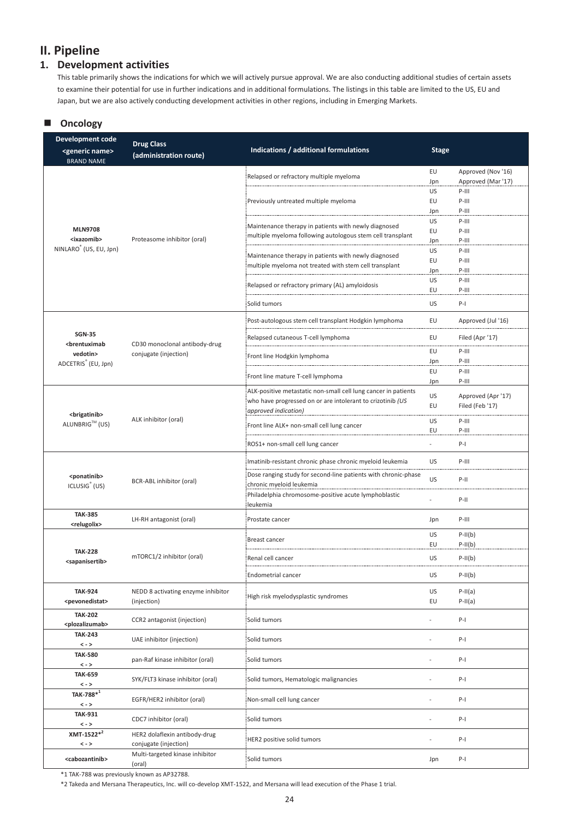## **II. Pipeline**

### **1. Development activities**

This table primarily shows the indications for which we will actively pursue approval. We are also conducting additional studies of certain assets to examine their potential for use in further indications and in additional formulations. The listings in this table are limited to the US, EU and Japan, but we are also actively conducting development activities in other regions, including in Emerging Markets.

### **Oncology**

| Development code<br><generic name=""></generic>                                                                                                                          | <b>Drug Class</b><br>(administration route) | Indications / additional formulations                                                        | <b>Stage</b> |                    |
|--------------------------------------------------------------------------------------------------------------------------------------------------------------------------|---------------------------------------------|----------------------------------------------------------------------------------------------|--------------|--------------------|
| <b>BRAND NAME</b>                                                                                                                                                        |                                             |                                                                                              | EU           | Approved (Nov '16) |
|                                                                                                                                                                          |                                             | Relapsed or refractory multiple myeloma                                                      | Jpn          | Approved (Mar '17) |
|                                                                                                                                                                          |                                             |                                                                                              | US           | $P-III$            |
|                                                                                                                                                                          |                                             | Previously untreated multiple myeloma                                                        | EU           | $P-III$            |
|                                                                                                                                                                          |                                             |                                                                                              | Jpn          | $P-III$            |
|                                                                                                                                                                          |                                             |                                                                                              | US           | $P-III$            |
| <b>MLN9708</b>                                                                                                                                                           |                                             | Maintenance therapy in patients with newly diagnosed                                         | EU           | $P-III$            |
| <ixazomib></ixazomib>                                                                                                                                                    | Proteasome inhibitor (oral)                 | multiple myeloma following autologous stem cell transplant                                   | Jpn          | $P-III$            |
| NINLARO <sup>®</sup> (US, EU, Jpn)                                                                                                                                       |                                             |                                                                                              | US           | $P-III$            |
|                                                                                                                                                                          |                                             | Maintenance therapy in patients with newly diagnosed                                         | EU           | $P-III$            |
|                                                                                                                                                                          |                                             | multiple myeloma not treated with stem cell transplant                                       | Jpn          | $P-III$            |
|                                                                                                                                                                          |                                             | Relapsed or refractory primary (AL) amyloidosis                                              | US           | $P-III$            |
|                                                                                                                                                                          |                                             |                                                                                              | EU           | $P-III$            |
|                                                                                                                                                                          |                                             | Solid tumors                                                                                 | US           | $P-I$              |
|                                                                                                                                                                          |                                             | Post-autologous stem cell transplant Hodgkin lymphoma                                        | EU           | Approved (Jul '16) |
| <b>SGN-35</b><br><brentuximab< td=""><td>CD30 monoclonal antibody-drug</td><td>Relapsed cutaneous T-cell lymphoma</td><td>EU</td><td>Filed (Apr '17)</td></brentuximab<> | CD30 monoclonal antibody-drug               | Relapsed cutaneous T-cell lymphoma                                                           | EU           | Filed (Apr '17)    |
| vedotin>                                                                                                                                                                 | conjugate (injection)                       | Front line Hodgkin lymphoma                                                                  | EU           | P-III              |
| ADCETRIS <sup>®</sup> (EU, Jpn)                                                                                                                                          |                                             |                                                                                              | Jpn          | $P-III$            |
|                                                                                                                                                                          |                                             | Front line mature T-cell lymphoma                                                            | EU           | $P-III$            |
|                                                                                                                                                                          |                                             |                                                                                              | Jpn          | $P-III$            |
|                                                                                                                                                                          |                                             | ALK-positive metastatic non-small cell lung cancer in patients                               | US           | Approved (Apr '17) |
|                                                                                                                                                                          |                                             | who have progressed on or are intolerant to crizotinib (US                                   | EU           | Filed (Feb '17)    |
| <brigatinib></brigatinib>                                                                                                                                                |                                             | approved indication)                                                                         |              |                    |
| ALUNBRIG™ (US)                                                                                                                                                           | ALK inhibitor (oral)                        | Front line ALK+ non-small cell lung cancer                                                   | US           | $P-III$            |
|                                                                                                                                                                          |                                             |                                                                                              | EU           | $P-III$            |
|                                                                                                                                                                          |                                             | ROS1+ non-small cell lung cancer                                                             |              | $P-I$              |
|                                                                                                                                                                          | BCR-ABL inhibitor (oral)                    | Imatinib-resistant chronic phase chronic myeloid leukemia                                    | US           | $P-III$            |
| <ponatinib></ponatinib>                                                                                                                                                  |                                             | Dose ranging study for second-line patients with chronic-phase                               | US           | $P-II$             |
| ICLUSIG <sup>®</sup> (US)                                                                                                                                                |                                             | chronic myeloid leukemia<br>Philadelphia chromosome-positive acute lymphoblastic<br>leukemia |              |                    |
|                                                                                                                                                                          |                                             |                                                                                              |              | $P-II$             |
| <b>TAK-385</b>                                                                                                                                                           |                                             |                                                                                              |              |                    |
| <relugolix></relugolix>                                                                                                                                                  | LH-RH antagonist (oral)                     | Prostate cancer                                                                              | Jpn          | P-III              |
|                                                                                                                                                                          |                                             |                                                                                              | US           | $P-II(b)$          |
|                                                                                                                                                                          |                                             | Breast cancer                                                                                | EU           | $P-II(b)$          |
| <b>TAK-228</b>                                                                                                                                                           | mTORC1/2 inhibitor (oral)                   | Renal cell cancer                                                                            | US           | $P-II(b)$          |
| <sapanisertib></sapanisertib>                                                                                                                                            |                                             |                                                                                              |              |                    |
|                                                                                                                                                                          |                                             | Endometrial cancer                                                                           | US           | $P-II(b)$          |
| <b>TAK-924</b>                                                                                                                                                           | NEDD 8 activating enzyme inhibitor          |                                                                                              | US           | $P-II(a)$          |
| <pevonedistat></pevonedistat>                                                                                                                                            | (injection)                                 | High risk myelodysplastic syndromes                                                          | EU           | $P-II(a)$          |
|                                                                                                                                                                          |                                             |                                                                                              |              |                    |
| <b>TAK-202</b>                                                                                                                                                           | CCR2 antagonist (injection)                 | Solid tumors                                                                                 |              | $P-I$              |
| <plozalizumab></plozalizumab>                                                                                                                                            |                                             |                                                                                              |              |                    |
| <b>TAK-243</b>                                                                                                                                                           | UAE inhibitor (injection)                   | Solid tumors                                                                                 |              | $P-I$              |
| $\,<$ - $>$<br><b>TAK-580</b>                                                                                                                                            |                                             |                                                                                              |              |                    |
| $\langle - \rangle$                                                                                                                                                      | pan-Raf kinase inhibitor (oral)             | Solid tumors                                                                                 |              | $P-I$              |
| <b>TAK-659</b>                                                                                                                                                           |                                             |                                                                                              |              |                    |
| $\lt$ - $>$                                                                                                                                                              | SYK/FLT3 kinase inhibitor (oral)            | Solid tumors, Hematologic malignancies                                                       |              | $P-I$              |
| $\texttt{TAK-788}^{*1}$                                                                                                                                                  |                                             |                                                                                              |              |                    |
| $\,<$ - $>$                                                                                                                                                              | EGFR/HER2 inhibitor (oral)                  | Non-small cell lung cancer                                                                   |              | $P-I$              |
| <b>TAK-931</b>                                                                                                                                                           |                                             |                                                                                              |              |                    |
| $\,<$ - $>$                                                                                                                                                              | CDC7 inhibitor (oral)                       | Solid tumors                                                                                 |              | $P-I$              |
| $XMT-1522^{*2}$                                                                                                                                                          | HER2 dolaflexin antibody-drug               |                                                                                              |              |                    |
| $\,<$ - $>$                                                                                                                                                              | conjugate (injection)                       | HER2 positive solid tumors                                                                   | ٠            | $P-I$              |
| <cabozantinib></cabozantinib>                                                                                                                                            | Multi-targeted kinase inhibitor<br>(oral)   | Solid tumors                                                                                 | Jpn          | $P-I$              |

\*1 TAK-788 was previously known as AP32788.

\*2 Takeda and Mersana Therapeutics, Inc. will co-develop XMT-1522, and Mersana will lead execution of the Phase 1 trial.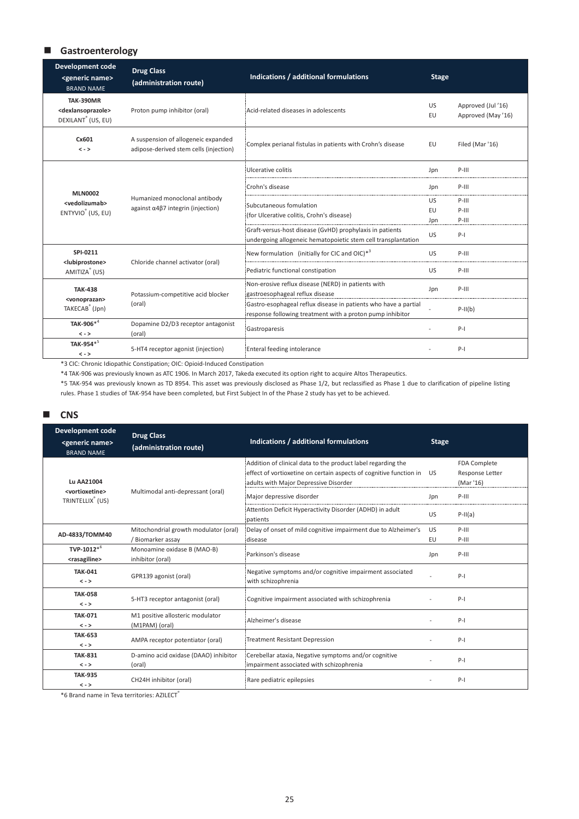### **Gastroenterology**

| <b>Development code</b><br><generic name=""><br/><b>BRAND NAME</b></generic>              | <b>Drug Class</b><br>(administration route)                                   | Indications / additional formulations                                                                                        | <b>Stage</b>    |                                         |
|-------------------------------------------------------------------------------------------|-------------------------------------------------------------------------------|------------------------------------------------------------------------------------------------------------------------------|-----------------|-----------------------------------------|
| <b>TAK-390MR</b><br><dexlansoprazole><br/>DEXILANT<sup>®</sup> (US, EU)</dexlansoprazole> | Proton pump inhibitor (oral)                                                  | Acid-related diseases in adolescents                                                                                         | <b>US</b><br>EU | Approved (Jul '16)<br>Approved (May'16) |
| Cx601<br>$\langle - \rangle$                                                              | A suspension of allogeneic expanded<br>adipose-derived stem cells (injection) | Complex perianal fistulas in patients with Crohn's disease                                                                   | EU              | Filed (Mar '16)                         |
|                                                                                           |                                                                               | Ulcerative colitis                                                                                                           | Jpn             | $P-III$                                 |
| <b>MLN0002</b>                                                                            |                                                                               | Crohn's disease                                                                                                              | Jpn             | $P-III$                                 |
| <vedolizumab></vedolizumab>                                                               | Humanized monoclonal antibody                                                 | Subcutaneous fomulation<br>(for Ulcerative colitis, Crohn's disease)                                                         | US.             | $P-III$                                 |
| ENTYVIO <sup>®</sup> (US, EU)                                                             | against $\alpha$ 4 $\beta$ 7 integrin (injection)                             |                                                                                                                              | EU              | $P-III$                                 |
|                                                                                           |                                                                               |                                                                                                                              | Jpn             | $P-III$                                 |
|                                                                                           |                                                                               | Graft-versus-host disease (GvHD) prophylaxis in patients<br>undergoing allogeneic hematopoietic stem cell transplantation    | <b>US</b>       | $P-I$                                   |
| SPI-0211                                                                                  |                                                                               | New formulation (initially for CIC and OIC) $*^3$                                                                            | <b>US</b>       | $P-III$                                 |
| AMITIZA <sup>®</sup> (US)                                                                 | <lubiprostone><br/>Chloride channel activator (oral)</lubiprostone>           | Pediatric functional constipation                                                                                            | <b>US</b>       | $P-III$                                 |
| <b>TAK-438</b>                                                                            | Potassium-competitive acid blocker                                            | Non-erosive reflux disease (NERD) in patients with<br>gastroesophageal reflux disease                                        | Jpn             | $P-III$                                 |
| TAKECAB <sup>®</sup> (Jpn)                                                                | <vonoprazan><br/>(oral)</vonoprazan>                                          | Gastro-esophageal reflux disease in patients who have a partial<br>response following treatment with a proton pump inhibitor |                 | $P-II(b)$                               |
| TAK-906* <sup>4</sup>                                                                     | Dopamine D2/D3 receptor antagonist                                            | Gastroparesis                                                                                                                |                 | $P-I$                                   |
| $\langle - \rangle$                                                                       | (oral)                                                                        |                                                                                                                              |                 |                                         |
| TAK-954*<br>$\lt$ - $>$                                                                   | 5-HT4 receptor agonist (injection)                                            | Enteral feeding intolerance                                                                                                  |                 | $P-I$                                   |

\*3 CIC: Chronic Idiopathic Constipation; OIC: Opioid-Induced Constipation

\*4 TAK-906 was previously known as ATC 1906. In March 2017, Takeda executed its option right to acquire Altos Therapeutics.

\*5 TAK-954 was previously known as TD 8954. This asset was previously disclosed as Phase 1/2, but reclassified as Phase 1 due to clarification of pipeline listing rules. Phase 1 studies of TAK-954 have been completed, but First Subject In of the Phase 2 study has yet to be achieved.

#### **CNS**

| <b>Development code</b><br><generic name=""><br/><b>BRAND NAME</b></generic> | <b>Drug Class</b><br>(administration route)                | Indications / additional formulations                                                                                                                                       | <b>Stage</b> |                                              |
|------------------------------------------------------------------------------|------------------------------------------------------------|-----------------------------------------------------------------------------------------------------------------------------------------------------------------------------|--------------|----------------------------------------------|
| <b>Lu AA21004</b>                                                            |                                                            | Addition of clinical data to the product label regarding the<br>effect of vortioxetine on certain aspects of cognitive function in<br>adults with Major Depressive Disorder | <b>US</b>    | FDA Complete<br>Response Letter<br>(Mar '16) |
| <vortioxetine><br/>TRINTELLIX<sup>®</sup> (US)</vortioxetine>                | Multimodal anti-depressant (oral)                          | Major depressive disorder                                                                                                                                                   | Jpn          | $P-III$                                      |
|                                                                              |                                                            | Attention Deficit Hyperactivity Disorder (ADHD) in adult<br>patients                                                                                                        | US           | $P-II(a)$                                    |
| AD-4833/TOMM40                                                               | Mitochondrial growth modulator (oral)<br>/ Biomarker assay | Delay of onset of mild cognitive impairment due to Alzheimer's<br>disease                                                                                                   | US<br>EU     | $P-III$<br>$P-III$                           |
| TVP-1012 $*^6$<br><rasagiline></rasagiline>                                  | Monoamine oxidase B (MAO-B)<br>inhibitor (oral)            | Parkinson's disease                                                                                                                                                         | Jpn          | $P-III$                                      |
| <b>TAK-041</b><br>$\lt$ - $>$                                                | GPR139 agonist (oral)                                      | Negative symptoms and/or cognitive impairment associated<br>with schizophrenia                                                                                              |              | $P-I$                                        |
| <b>TAK-058</b><br>$\langle - \rangle$                                        | 5-HT3 receptor antagonist (oral)                           | Cognitive impairment associated with schizophrenia                                                                                                                          |              | $P-I$                                        |
| <b>TAK-071</b><br>$\langle - \rangle$                                        | M1 positive allosteric modulator<br>(M1PAM) (oral)         | Alzheimer's disease                                                                                                                                                         |              | $P-I$                                        |
| <b>TAK-653</b><br>$\langle - \rangle$                                        | AMPA receptor potentiator (oral)                           | <b>Treatment Resistant Depression</b>                                                                                                                                       |              | $P-I$                                        |
| <b>TAK-831</b><br>$\langle - \rangle$                                        | D-amino acid oxidase (DAAO) inhibitor<br>(oral)            | Cerebellar ataxia, Negative symptoms and/or cognitive<br>impairment associated with schizophrenia                                                                           |              | $P-I$                                        |
| <b>TAK-935</b><br>$\langle - \rangle$                                        | CH24H inhibitor (oral)                                     | Rare pediatric epilepsies                                                                                                                                                   |              | $P-I$                                        |

\*6 Brand name in Teva territories: AZILECT**®**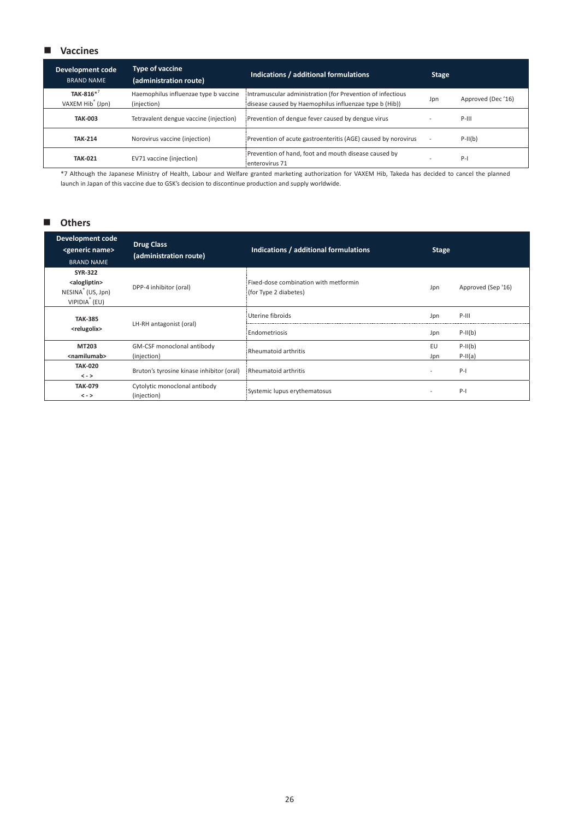### **Vaccines**

| <b>Development code</b><br><b>BRAND NAME</b>  | <b>Type of vaccine</b><br>(administration route)     | Indications / additional formulations                                                                                | <b>Stage</b> |                   |
|-----------------------------------------------|------------------------------------------------------|----------------------------------------------------------------------------------------------------------------------|--------------|-------------------|
| TAK-816 $*^7$<br>VAXEM Hib <sup>®</sup> (Jpn) | Haemophilus influenzae type b vaccine<br>(injection) | Intramuscular administration (for Prevention of infectious<br>disease caused by Haemophilus influenzae type b (Hib)) | Jpn          | Approved (Dec'16) |
| <b>TAK-003</b>                                | Tetravalent dengue vaccine (injection)               | Prevention of dengue fever caused by dengue virus                                                                    |              | $P-III$           |
| <b>TAK-214</b>                                | Norovirus vaccine (injection)                        | Prevention of acute gastroenteritis (AGE) caused by norovirus                                                        |              | $P-II(b)$         |
| <b>TAK-021</b>                                | EV71 vaccine (injection)                             | Prevention of hand, foot and mouth disease caused by<br>enterovirus 71                                               |              | $P-I$             |

\*7 Although the Japanese Ministry of Health, Labour and Welfare granted marketing authorization for VAXEM Hib, Takeda has decided to cancel the planned launch in Japan of this vaccine due to GSK's decision to discontinue production and supply worldwide.

### **Others**

| <b>Development code</b><br><generic name=""><br/><b>BRAND NAME</b></generic>                              | <b>Drug Class</b><br>(administration route)        | Indications / additional formulations                          | <b>Stage</b>             |                    |
|-----------------------------------------------------------------------------------------------------------|----------------------------------------------------|----------------------------------------------------------------|--------------------------|--------------------|
| <b>SYR-322</b><br><alogliptin><br/>NESINA<sup>®</sup> (US, Jpn)<br/>VIPIDIA<sup>®</sup> (EU)</alogliptin> | DPP-4 inhibitor (oral)                             | Fixed-dose combination with metformin<br>(for Type 2 diabetes) | Jpn                      | Approved (Sep '16) |
| <b>TAK-385</b>                                                                                            | LH-RH antagonist (oral)<br><relugolix></relugolix> | Uterine fibroids                                               | Jpn                      | $P-III$            |
|                                                                                                           |                                                    | Endometriosis                                                  | Jpn                      | $P-II(b)$          |
| MT203                                                                                                     | GM-CSF monoclonal antibody                         |                                                                | EU                       | $P-II(b)$          |
| <namilumab></namilumab>                                                                                   | (injection)                                        | Rheumatoid arthritis                                           | Jpn                      | $P-II(a)$          |
| <b>TAK-020</b><br>$\langle - \rangle$                                                                     | Bruton's tyrosine kinase inhibitor (oral)          | Rheumatoid arthritis                                           | $\overline{\phantom{a}}$ | $P-I$              |
| <b>TAK-079</b><br>$\langle - \rangle$                                                                     | Cytolytic monoclonal antibody<br>(injection)       | Systemic lupus erythematosus                                   | $\overline{\phantom{a}}$ | $P-I$              |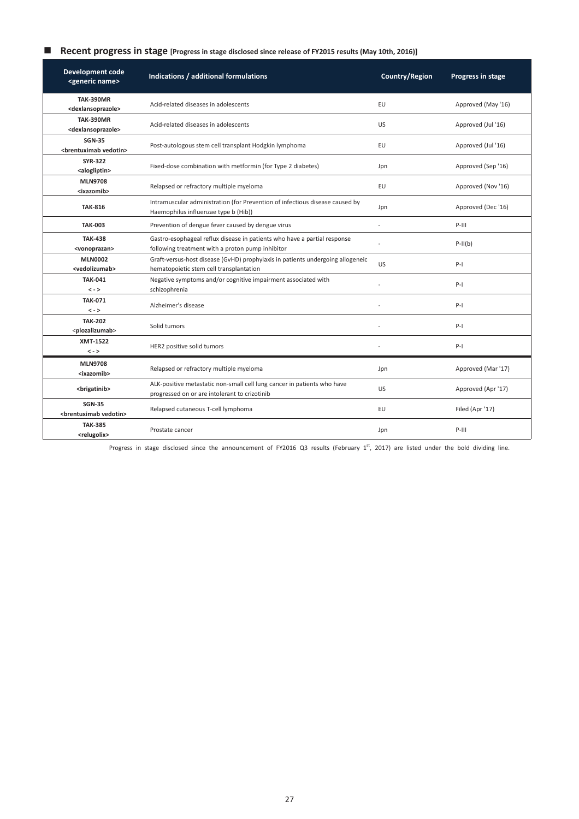### **Recent progress in stage [Progress in stage disclosed since release of FY2015 results (May 10th, 2016)]**

| <b>Development code</b><br><generic name=""></generic>  | Indications / additional formulations                                                                                        | Country/Region | Progress in stage  |
|---------------------------------------------------------|------------------------------------------------------------------------------------------------------------------------------|----------------|--------------------|
| <b>TAK-390MR</b><br><dexlansoprazole></dexlansoprazole> | Acid-related diseases in adolescents                                                                                         | EU             | Approved (May '16) |
| <b>TAK-390MR</b><br><dexlansoprazole></dexlansoprazole> | Acid-related diseases in adolescents                                                                                         | <b>US</b>      | Approved (Jul '16) |
| <b>SGN-35</b><br><brentuximab vedotin=""></brentuximab> | Post-autologous stem cell transplant Hodgkin lymphoma                                                                        | EU             | Approved (Jul '16) |
| <b>SYR-322</b><br><alogliptin></alogliptin>             | Fixed-dose combination with metformin (for Type 2 diabetes)                                                                  | Jpn            | Approved (Sep '16) |
| <b>MLN9708</b><br><ixazomib></ixazomib>                 | Relapsed or refractory multiple myeloma                                                                                      | EU             | Approved (Nov '16) |
| <b>TAK-816</b>                                          | Intramuscular administration (for Prevention of infectious disease caused by<br>Haemophilus influenzae type b (Hib))         | Jpn            | Approved (Dec '16) |
| <b>TAK-003</b>                                          | Prevention of dengue fever caused by dengue virus                                                                            | $\overline{a}$ | $P-III$            |
| <b>TAK-438</b><br><vonoprazan></vonoprazan>             | Gastro-esophageal reflux disease in patients who have a partial response<br>following treatment with a proton pump inhibitor |                | $P-II(b)$          |
| <b>MLN0002</b><br><vedolizumab></vedolizumab>           | Graft-versus-host disease (GvHD) prophylaxis in patients undergoing allogeneic<br>hematopoietic stem cell transplantation    | <b>US</b>      | $P-I$              |
| <b>TAK-041</b><br>$\langle - \rangle$                   | Negative symptoms and/or cognitive impairment associated with<br>schizophrenia                                               |                | $P-I$              |
| <b>TAK-071</b><br>$\langle - \rangle$                   | Alzheimer's disease                                                                                                          |                | $P-I$              |
| <b>TAK-202</b><br><plozalizumab></plozalizumab>         | Solid tumors                                                                                                                 |                | $P-I$              |
| <b>XMT-1522</b><br>$\langle - \rangle$                  | HER2 positive solid tumors                                                                                                   |                | $P-I$              |
| <b>MLN9708</b><br><ixazomib></ixazomib>                 | Relapsed or refractory multiple myeloma                                                                                      | Jpn            | Approved (Mar '17) |
| <brigatinib></brigatinib>                               | ALK-positive metastatic non-small cell lung cancer in patients who have<br>progressed on or are intolerant to crizotinib     | US.            | Approved (Apr '17) |
| <b>SGN-35</b><br><brentuximab vedotin=""></brentuximab> | Relapsed cutaneous T-cell lymphoma                                                                                           | EU             | Filed (Apr '17)    |
| <b>TAK-385</b><br><relugolix></relugolix>               | Prostate cancer                                                                                                              | Jpn            | $P-III$            |

Progress in stage disclosed since the announcement of FY2016 Q3 results (February  $1^{st}$ , 2017) are listed under the bold dividing line.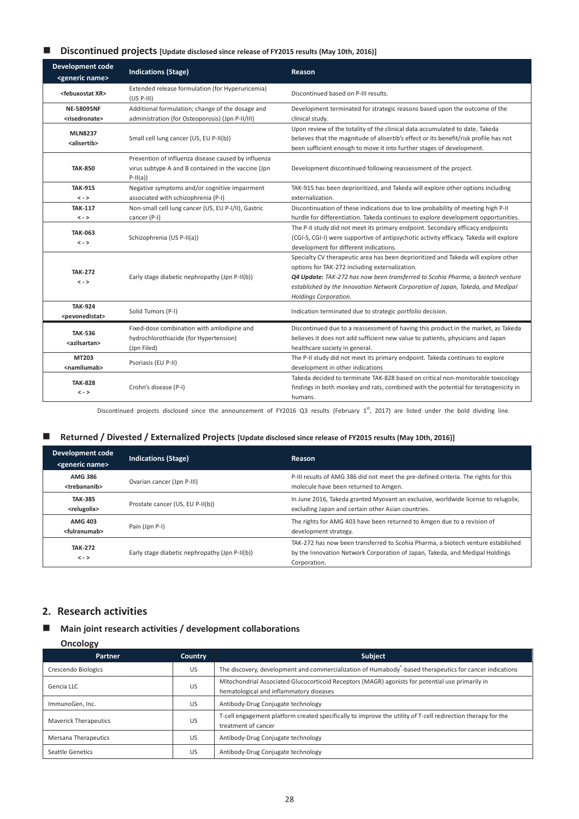### ■ **Discontinued projects** [Update disclosed since release of FY2015 results (May 10th, 2016)]

| <b>Development code</b><br><generic name=""></generic> | <b>Indications (Stage)</b>                                                                                              | Reason                                                                                                                                                                                                                                                                                                                              |
|--------------------------------------------------------|-------------------------------------------------------------------------------------------------------------------------|-------------------------------------------------------------------------------------------------------------------------------------------------------------------------------------------------------------------------------------------------------------------------------------------------------------------------------------|
| <febuxostat xr=""></febuxostat>                        | Extended release formulation (for Hyperuricemia)<br>$(US P-III)$                                                        | Discontinued based on P-III results.                                                                                                                                                                                                                                                                                                |
| <b>NE-58095NF</b><br><risedronate></risedronate>       | Additional formulation; change of the dosage and<br>administration (for Osteoporosis) (Jpn P-II/III)                    | Development terminated for strategic reasons based upon the outcome of the<br>clinical study.                                                                                                                                                                                                                                       |
| <b>MLN8237</b><br><alisertib></alisertib>              | Small cell lung cancer (US, EU P-II(b))                                                                                 | Upon review of the totality of the clinical data accumulated to date, Takeda<br>believes that the magnitude of alisertib's effect or its benefit/risk profile has not<br>been sufficient enough to move it into further stages of development.                                                                                      |
| <b>TAK-850</b>                                         | Prevention of influenza disease caused by influenza<br>virus subtype A and B contained in the vaccine (Jpn<br>$P-II(a)$ | Development discontinued following reassessment of the project.                                                                                                                                                                                                                                                                     |
| <b>TAK-915</b><br>$\lt$ - $>$                          | Negative symptoms and/or cognitive impairment<br>associated with schizophrenia (P-I)                                    | TAK-915 has been deprioritized, and Takeda will explore other options including<br>externalization.                                                                                                                                                                                                                                 |
| <b>TAK-117</b><br>$\langle - \rangle$                  | Non-small cell lung cancer (US, EU P-I/II), Gastric<br>cancer (P-I)                                                     | Discontinuation of these indications due to low probability of meeting high P-II<br>hurdle for differentiation. Takeda continues to explore development opportunities.                                                                                                                                                              |
| <b>TAK-063</b><br>$\lt$ - $>$                          | Schizophrenia (US P-II(a))                                                                                              | The P-II study did not meet its primary endpoint. Secondary efficacy endpoints<br>(CGI-S, CGI-I) were supportive of antipsychotic activity efficacy. Takeda will explore<br>development for different indications.                                                                                                                  |
| <b>TAK-272</b><br>$\lt$ - $>$                          | Early stage diabetic nephropathy (Jpn P-II(b))                                                                          | Specialty CV therapeutic area has been deprioritized and Takeda will explore other<br>options for TAK-272 including externalization.<br>Q4 Update: TAK-272 has now been transferred to Scohia Pharma, a biotech venture<br>established by the Innovation Network Corporation of Japan, Takeda, and Medipal<br>Holdings Corporation. |
| <b>TAK-924</b><br><pevonedistat></pevonedistat>        | Solid Tumors (P-I)                                                                                                      | Indication terminated due to strategic portfolio decision.                                                                                                                                                                                                                                                                          |
| <b>TAK-536</b><br><azilsartan></azilsartan>            | Fixed-dose combination with amlodipine and<br>hydrochlorothiazide (for Hypertension)<br>(Jpn Filed)                     | Discontinued due to a reassessment of having this product in the market, as Takeda<br>believes it does not add sufficient new value to patients, physicians and Japan<br>healthcare society in general.                                                                                                                             |
| MT203<br><namilumab></namilumab>                       | Psoriasis (EU P-II)                                                                                                     | The P-II study did not meet its primary endpoint. Takeda continues to explore<br>development in other indications                                                                                                                                                                                                                   |
| <b>TAK-828</b><br>$\langle - \rangle$                  | Crohn's disease (P-I)                                                                                                   | Takeda decided to terminate TAK-828 based on critical non-monitorable toxicology<br>findings in both monkey and rats, combined with the potential for teratogenicity in<br>humans.                                                                                                                                                  |

Discontinued projects disclosed since the announcement of FY2016 Q3 results (February 1<sup>st</sup>, 2017) are listed under the bold dividing line.

#### **Returned / Divested / Externalized Projects [Update disclosed since release of FY2015 results (May 10th, 2016)]**

| Development code<br><generic name=""></generic> | <b>Indications (Stage)</b>                     | Reason                                                                                                                                                                           |
|-------------------------------------------------|------------------------------------------------|----------------------------------------------------------------------------------------------------------------------------------------------------------------------------------|
| <b>AMG 386</b><br><trebananib></trebananib>     | Ovarian cancer (Jpn P-III)                     | P-III results of AMG 386 did not meet the pre-defined criteria. The rights for this<br>molecule have been returned to Amgen.                                                     |
| <b>TAK-385</b><br><relugolix></relugolix>       | Prostate cancer (US, EU P-II(b))               | In June 2016, Takeda granted Myovant an exclusive, worldwide license to relugolix,<br>excluding Japan and certain other Asian countries.                                         |
| <b>AMG 403</b><br><fulranumab></fulranumab>     | Pain (Jpn P-I)                                 | The rights for AMG 403 have been returned to Amgen due to a revision of<br>development strategy.                                                                                 |
| <b>TAK-272</b><br>$\langle - \rangle$           | Early stage diabetic nephropathy (Jpn P-II(b)) | TAK-272 has now been transferred to Scohia Pharma, a biotech venture established<br>by the Innovation Network Corporation of Japan, Takeda, and Medipal Holdings<br>Corporation. |

### **2. Research activities**

### **Main joint research activities / development collaborations**

**Oncology** 

| - - - - - - 0 1              |                |                                                                                                                                             |
|------------------------------|----------------|---------------------------------------------------------------------------------------------------------------------------------------------|
| <b>Partner</b>               | <b>Country</b> | <b>Subject</b>                                                                                                                              |
| Crescendo Biologics          | US             | The discovery, development and commercialization of Humabody -based therapeutics for cancer indications                                     |
| Gencia LLC                   | US             | Mitochondrial Associated Glucocorticoid Receptors (MAGR) agonists for potential use primarily in<br>hematological and inflammatory diseases |
| ImmunoGen, Inc.              | <b>US</b>      | Antibody-Drug Conjugate technology                                                                                                          |
| <b>Maverick Therapeutics</b> | US             | T-cell engagement platform created specifically to improve the utility of T-cell redirection therapy for the<br>treatment of cancer         |
| Mersana Therapeutics         | US             | Antibody-Drug Conjugate technology                                                                                                          |
| Seattle Genetics             | US             | Antibody-Drug Conjugate technology                                                                                                          |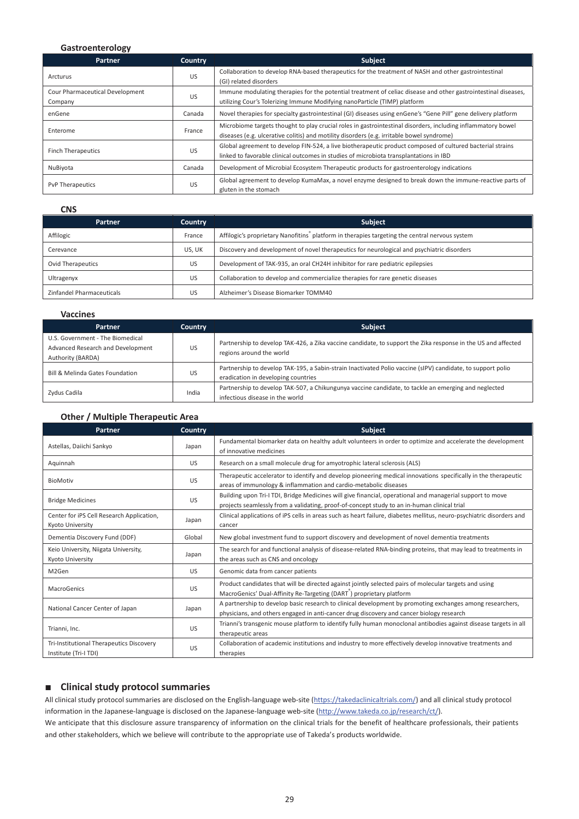### **Gastroenterology**

| Partner                                    | <b>Country</b> | <b>Subject</b>                                                                                                                                                                                            |
|--------------------------------------------|----------------|-----------------------------------------------------------------------------------------------------------------------------------------------------------------------------------------------------------|
| Arcturus                                   | US             | Collaboration to develop RNA-based therapeutics for the treatment of NASH and other gastrointestinal<br>(GI) related disorders                                                                            |
| Cour Pharmaceutical Development<br>Company | US             | Immune modulating therapies for the potential treatment of celiac disease and other gastrointestinal diseases,<br>utilizing Cour's Tolerizing Immune Modifying nanoParticle (TIMP) platform               |
| enGene                                     | Canada         | Novel therapies for specialty gastrointestinal (GI) diseases using engene's "Gene Pill" gene delivery platform                                                                                            |
| Enterome                                   | France         | Microbiome targets thought to play crucial roles in gastrointestinal disorders, including inflammatory bowel<br>diseases (e.g. ulcerative colitis) and motility disorders (e.g. irritable bowel syndrome) |
| <b>Finch Therapeutics</b>                  | US             | Global agreement to develop FIN-524, a live biotherapeutic product composed of cultured bacterial strains<br>linked to favorable clinical outcomes in studies of microbiota transplantations in IBD       |
| NuBiyota                                   | Canada         | Development of Microbial Ecosystem Therapeutic products for gastroenterology indications                                                                                                                  |
| PvP Therapeutics                           | US             | Global agreement to develop KumaMax, a novel enzyme designed to break down the immune-reactive parts of<br>gluten in the stomach                                                                          |

**CNS** 

| Partner                   | Country | <b>Subject</b>                                                                                             |
|---------------------------|---------|------------------------------------------------------------------------------------------------------------|
| Affilogic                 | France  | Affilogic's proprietary Nanofitins <sup>®</sup> platform in therapies targeting the central nervous system |
| Cerevance                 | US. UK  | Discovery and development of novel therapeutics for neurological and psychiatric disorders                 |
| <b>Ovid Therapeutics</b>  | US      | Development of TAK-935, an oral CH24H inhibitor for rare pediatric epilepsies                              |
| Ultragenyx                | US      | Collaboration to develop and commercialize therapies for rare genetic diseases                             |
| Zinfandel Pharmaceuticals | US      | Alzheimer's Disease Biomarker TOMM40                                                                       |

#### **Vaccines**

| Partner                                                                                    | Country | <b>Subject</b>                                                                                                                                     |
|--------------------------------------------------------------------------------------------|---------|----------------------------------------------------------------------------------------------------------------------------------------------------|
| U.S. Government - The Biomedical<br>Advanced Research and Development<br>Authority (BARDA) | US      | Partnership to develop TAK-426, a Zika vaccine candidate, to support the Zika response in the US and affected<br>regions around the world          |
| Bill & Melinda Gates Foundation                                                            | US      | Partnership to develop TAK-195, a Sabin-strain Inactivated Polio vaccine (sIPV) candidate, to support polio<br>eradication in developing countries |
| Zydus Cadila                                                                               | India   | Partnership to develop TAK-507, a Chikungunya vaccine candidate, to tackle an emerging and neglected<br>infectious disease in the world            |

| <b>Other / Multiple Therapeutic Area</b>                          |                |                                                                                                                                                                                                          |  |  |
|-------------------------------------------------------------------|----------------|----------------------------------------------------------------------------------------------------------------------------------------------------------------------------------------------------------|--|--|
| Partner                                                           | <b>Country</b> | Subject                                                                                                                                                                                                  |  |  |
| Astellas, Daiichi Sankyo                                          | Japan          | Fundamental biomarker data on healthy adult volunteers in order to optimize and accelerate the development<br>of innovative medicines                                                                    |  |  |
| Aquinnah                                                          | <b>US</b>      | Research on a small molecule drug for amyotrophic lateral sclerosis (ALS)                                                                                                                                |  |  |
| BioMotiv                                                          | US             | Therapeutic accelerator to identify and develop pioneering medical innovations specifically in the therapeutic<br>areas of immunology & inflammation and cardio-metabolic diseases                       |  |  |
| <b>Bridge Medicines</b>                                           | US             | Building upon Tri-I TDI, Bridge Medicines will give financial, operational and managerial support to move<br>projects seamlessly from a validating, proof-of-concept study to an in-human clinical trial |  |  |
| Center for iPS Cell Research Application,<br>Kyoto University     | Japan          | Clinical applications of iPS cells in areas such as heart failure, diabetes mellitus, neuro-psychiatric disorders and<br>cancer                                                                          |  |  |
| Dementia Discovery Fund (DDF)                                     | Global         | New global investment fund to support discovery and development of novel dementia treatments                                                                                                             |  |  |
| Keio University, Niigata University,<br>Kyoto University          | Japan          | The search for and functional analysis of disease-related RNA-binding proteins, that may lead to treatments in<br>the areas such as CNS and oncology                                                     |  |  |
| M2Gen                                                             | US             | Genomic data from cancer patients                                                                                                                                                                        |  |  |
| MacroGenics                                                       | US             | Product candidates that will be directed against jointly selected pairs of molecular targets and using<br>MacroGenics' Dual-Affinity Re-Targeting (DART <sup>"</sup> ) proprietary platform              |  |  |
| National Cancer Center of Japan                                   | Japan          | A partnership to develop basic research to clinical development by promoting exchanges among researchers,<br>physicians, and others engaged in anti-cancer drug discovery and cancer biology research    |  |  |
| Trianni, Inc.                                                     | US             | Trianni's transgenic mouse platform to identify fully human monoclonal antibodies against disease targets in all<br>therapeutic areas                                                                    |  |  |
| Tri-Institutional Therapeutics Discovery<br>Institute (Tri-I TDI) | <b>US</b>      | Collaboration of academic institutions and industry to more effectively develop innovative treatments and<br>therapies                                                                                   |  |  |

### $\blacksquare$  Clinical study protocol summaries

All clinical study protocol summaries are disclosed on the English-language web-site (https://takedaclinicaltrials.com/) and all clinical study protocol information in the Japanese-language is disclosed on the Japanese-language web-site (http://www.takeda.co.jp/research/ct/).

We anticipate that this disclosure assure transparency of information on the clinical trials for the benefit of healthcare professionals, their patients and other stakeholders, which we believe will contribute to the appropriate use of Takeda's products worldwide.